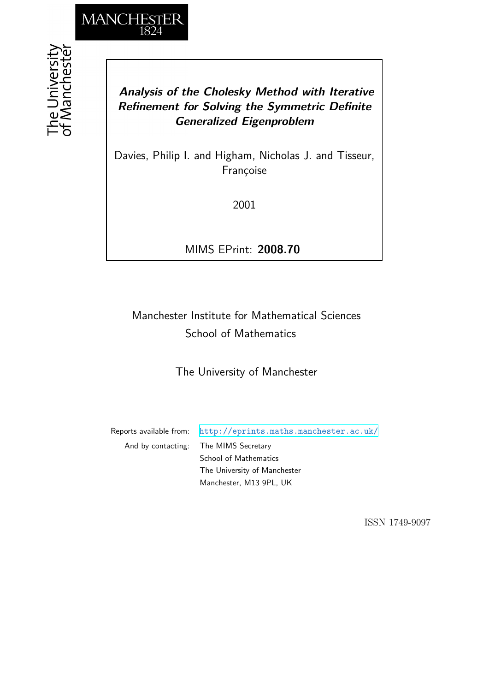

*Analysis of the Cholesky Method with Iterative Refinement for Solving the Symmetric Definite Generalized Eigenproblem*

Davies, Philip I. and Higham, Nicholas J. and Tisseur, Françoise

2001

MIMS EPrint: **2008.70**

## Manchester Institute for Mathematical Sciences School of Mathematics

The University of Manchester

Reports available from: <http://eprints.maths.manchester.ac.uk/> And by contacting: The MIMS Secretary School of Mathematics The University of Manchester

Manchester, M13 9PL, UK

ISSN 1749-9097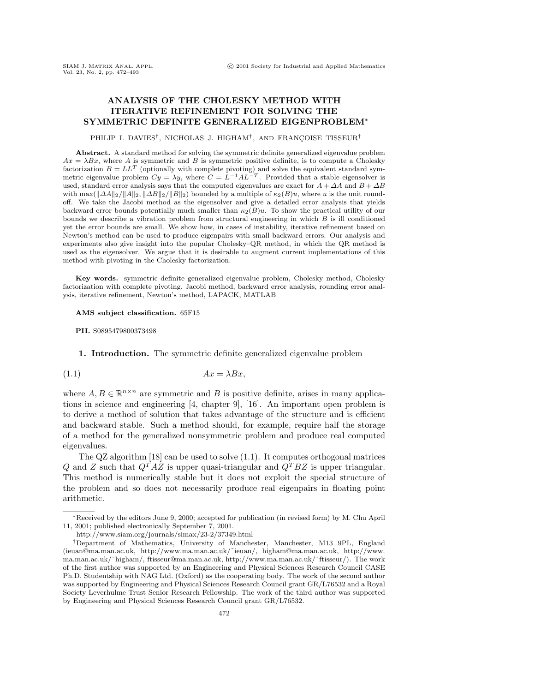## **ANALYSIS OF THE CHOLESKY METHOD WITH ITERATIVE REFINEMENT FOR SOLVING THE SYMMETRIC DEFINITE GENERALIZED EIGENPROBLEM**<sup>∗</sup>

PHILIP I. DAVIES<sup>†</sup>, NICHOLAS J. HIGHAM<sup>†</sup>, AND FRANÇOISE TISSEUR<sup>†</sup>

**Abstract.** A standard method for solving the symmetric definite generalized eigenvalue problem  $Ax = \lambda Bx$ , where A is symmetric and B is symmetric positive definite, is to compute a Cholesky factorization  $B = LL^T$  (optionally with complete pivoting) and solve the equivalent standard symmetric eigenvalue problem  $Cy = \lambda y$ , where  $C = L^{-1}AL^{-T}$ . Provided that a stable eigensolver is used, standard error analysis says that the computed eigenvalues are exact for  $A + \Delta A$  and  $B + \Delta B$ with  $\max(||\Delta A||_2/||A||_2, ||\Delta B||_2/||B||_2)$  bounded by a multiple of  $\kappa_2(B)u$ , where u is the unit roundoff. We take the Jacobi method as the eigensolver and give a detailed error analysis that yields backward error bounds potentially much smaller than  $\kappa_2(B)u$ . To show the practical utility of our bounds we describe a vibration problem from structural engineering in which B is ill conditioned yet the error bounds are small. We show how, in cases of instability, iterative refinement based on Newton's method can be used to produce eigenpairs with small backward errors. Our analysis and experiments also give insight into the popular Cholesky–QR method, in which the QR method is used as the eigensolver. We argue that it is desirable to augment current implementations of this method with pivoting in the Cholesky factorization.

**Key words.** symmetric definite generalized eigenvalue problem, Cholesky method, Cholesky factorization with complete pivoting, Jacobi method, backward error analysis, rounding error analysis, iterative refinement, Newton's method, LAPACK, MATLAB

**AMS subject classification.** 65F15

**PII.** S0895479800373498

**1. Introduction.** The symmetric definite generalized eigenvalue problem

$$
(1.1)\t\t\t Ax = \lambda Bx,
$$

where  $A, B \in \mathbb{R}^{n \times n}$  are symmetric and B is positive definite, arises in many applications in science and engineering [4, chapter 9], [16]. An important open problem is to derive a method of solution that takes advantage of the structure and is efficient and backward stable. Such a method should, for example, require half the storage of a method for the generalized nonsymmetric problem and produce real computed eigenvalues.

The QZ algorithm [18] can be used to solve (1.1). It computes orthogonal matrices Q and Z such that  $Q^T A Z$  is upper quasi-triangular and  $Q^T B Z$  is upper triangular. This method is numerically stable but it does not exploit the special structure of the problem and so does not necessarily produce real eigenpairs in floating point arithmetic.

<sup>∗</sup>Received by the editors June 9, 2000; accepted for publication (in revised form) by M. Chu April 11, 2001; published electronically September 7, 2001.

http://www.siam.org/journals/simax/23-2/37349.html

<sup>†</sup>Department of Mathematics, University of Manchester, Manchester, M13 9PL, England (ieuan@ma.man.ac.uk, http://www.ma.man.ac.uk/˜ieuan/, higham@ma.man.ac.uk, http://www. ma.man.ac.uk/˜higham/, ftisseur@ma.man.ac.uk, http://www.ma.man.ac.uk/˜ftisseur/). The work of the first author was supported by an Engineering and Physical Sciences Research Council CASE Ph.D. Studentship with NAG Ltd. (Oxford) as the cooperating body. The work of the second author was supported by Engineering and Physical Sciences Research Council grant GR/L76532 and a Royal Society Leverhulme Trust Senior Research Fellowship. The work of the third author was supported by Engineering and Physical Sciences Research Council grant GR/L76532.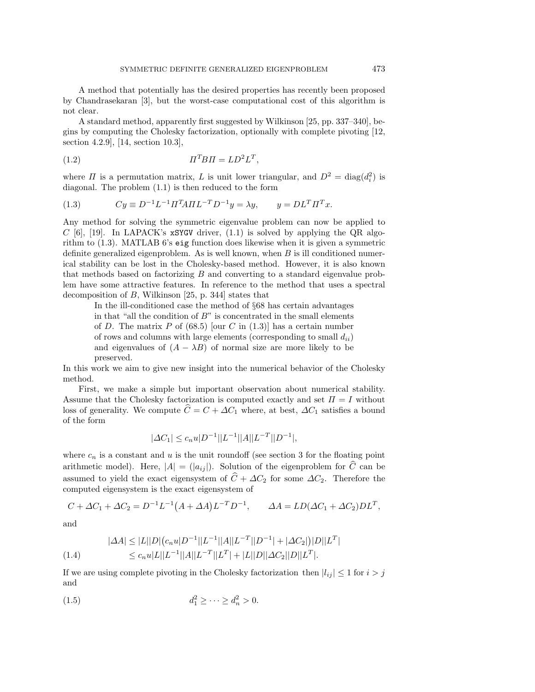A method that potentially has the desired properties has recently been proposed by Chandrasekaran [3], but the worst-case computational cost of this algorithm is not clear.

A standard method, apparently first suggested by Wilkinson [25, pp. 337–340], begins by computing the Cholesky factorization, optionally with complete pivoting [12, section 4.2.9], [14, section 10.3],

$$
(1.2)\t\t \t\Pi^T B \Pi = LD^2 L^T,
$$

where  $\Pi$  is a permutation matrix, L is unit lower triangular, and  $D^2 = \text{diag}(d_i^2)$  is diagonal. The problem (1.1) is then reduced to the form

(1.3) 
$$
Cy \equiv D^{-1}L^{-1}\Pi^{T}A\Pi L^{-T}D^{-1}y = \lambda y, \qquad y = DL^{T}\Pi^{T}x.
$$

Any method for solving the symmetric eigenvalue problem can now be applied to C [6], [19]. In LAPACK's xSYGV driver,  $(1.1)$  is solved by applying the QR algorithm to (1.3). MATLAB 6's eig function does likewise when it is given a symmetric definite generalized eigenproblem. As is well known, when  $B$  is ill conditioned numerical stability can be lost in the Cholesky-based method. However, it is also known that methods based on factorizing B and converting to a standard eigenvalue problem have some attractive features. In reference to the method that uses a spectral decomposition of B, Wilkinson [25, p. 344] states that

In the ill-conditioned case the method of §68 has certain advantages in that "all the condition of  $B$ " is concentrated in the small elements of D. The matrix P of  $(68.5)$  [our C in  $(1.3)$ ] has a certain number of rows and columns with large elements (corresponding to small  $d_{ii}$ ) and eigenvalues of  $(A - \lambda B)$  of normal size are more likely to be preserved.

In this work we aim to give new insight into the numerical behavior of the Cholesky method.

First, we make a simple but important observation about numerical stability. Assume that the Cholesky factorization is computed exactly and set  $\Pi = I$  without loss of generality. We compute  $\hat{C} = C + \Delta C_1$  where, at best,  $\Delta C_1$  satisfies a bound of the form

$$
|\Delta C_1| \le c_n u |D^{-1}||L^{-1}||A||L^{-T}||D^{-1}|,
$$

where  $c_n$  is a constant and u is the unit roundoff (see section 3 for the floating point arithmetic model). Here,  $|A| = (|a_{ij}|)$ . Solution of the eigenproblem for  $\widehat{C}$  can be assumed to yield the exact eigensystem of  $\hat{C} + \Delta C_2$  for some  $\Delta C_2$ . Therefore the computed eigensystem is the exact eigensystem of

$$
C + \Delta C_1 + \Delta C_2 = D^{-1}L^{-1}(A + \Delta A)L^{-T}D^{-1}, \qquad \Delta A = LD(\Delta C_1 + \Delta C_2)DL^{T},
$$

and

$$
|\Delta A| \le |L||D|(c_n u|D^{-1}||L^{-1}||A||L^{-T}||D^{-1}| + |\Delta C_2|)|D||L^T|
$$
  
(1.4) 
$$
\le c_n u|L||L^{-1}||A||L^{-T}||L^T| + |L||D||\Delta C_2||D||L^T|.
$$

If we are using complete pivoting in the Cholesky factorization then  $|l_{ij}| \leq 1$  for  $i > j$ and

(1.5) 
$$
d_1^2 \ge \cdots \ge d_n^2 > 0.
$$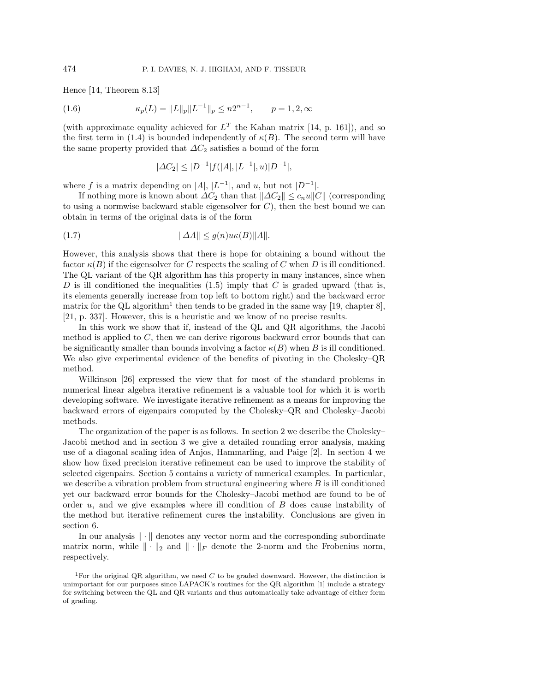Hence [14, Theorem 8.13]

(1.6) 
$$
\kappa_p(L) = \|L\|_p \|L^{-1}\|_p \le n2^{n-1}, \qquad p = 1, 2, \infty
$$

(with approximate equality achieved for  $L^T$  the Kahan matrix [14, p. 161]), and so the first term in (1.4) is bounded independently of  $\kappa(B)$ . The second term will have the same property provided that  $\Delta C_2$  satisfies a bound of the form

$$
|\Delta C_2| \le |D^{-1}|f(|A|, |L^{-1}|, u)|D^{-1}|,
$$

where f is a matrix depending on |A|,  $|L^{-1}|$ , and u, but not  $|D^{-1}|$ .

If nothing more is known about  $\Delta C_2$  than that  $\|\Delta C_2\| \leq c_n u \|C\|$  (corresponding to using a normwise backward stable eigensolver for  $C$ ), then the best bound we can obtain in terms of the original data is of the form

$$
||\Delta A|| \le g(n)u\kappa(B)||A||.
$$

However, this analysis shows that there is hope for obtaining a bound without the factor  $\kappa(B)$  if the eigensolver for C respects the scaling of C when D is ill conditioned. The QL variant of the QR algorithm has this property in many instances, since when D is ill conditioned the inequalities  $(1.5)$  imply that C is graded upward (that is, its elements generally increase from top left to bottom right) and the backward error matrix for the QL algorithm<sup>1</sup> then tends to be graded in the same way [19, chapter 8], [21, p. 337]. However, this is a heuristic and we know of no precise results.

In this work we show that if, instead of the QL and QR algorithms, the Jacobi method is applied to  $C$ , then we can derive rigorous backward error bounds that can be significantly smaller than bounds involving a factor  $\kappa(B)$  when B is ill conditioned. We also give experimental evidence of the benefits of pivoting in the Cholesky–QR method.

Wilkinson [26] expressed the view that for most of the standard problems in numerical linear algebra iterative refinement is a valuable tool for which it is worth developing software. We investigate iterative refinement as a means for improving the backward errors of eigenpairs computed by the Cholesky–QR and Cholesky–Jacobi methods.

The organization of the paper is as follows. In section 2 we describe the Cholesky– Jacobi method and in section 3 we give a detailed rounding error analysis, making use of a diagonal scaling idea of Anjos, Hammarling, and Paige [2]. In section 4we show how fixed precision iterative refinement can be used to improve the stability of selected eigenpairs. Section 5 contains a variety of numerical examples. In particular, we describe a vibration problem from structural engineering where  $B$  is ill conditioned yet our backward error bounds for the Cholesky–Jacobi method are found to be of order  $u$ , and we give examples where ill condition of  $B$  does cause instability of the method but iterative refinement cures the instability. Conclusions are given in section 6.

In our analysis  $\|\cdot\|$  denotes any vector norm and the corresponding subordinate matrix norm, while  $\|\cdot\|_2$  and  $\|\cdot\|_F$  denote the 2-norm and the Frobenius norm, respectively.

<sup>&</sup>lt;sup>1</sup>For the original QR algorithm, we need  $C$  to be graded downward. However, the distinction is unimportant for our purposes since LAPACK's routines for the QR algorithm [1] include a strategy for switching between the QL and QR variants and thus automatically take advantage of either form of grading.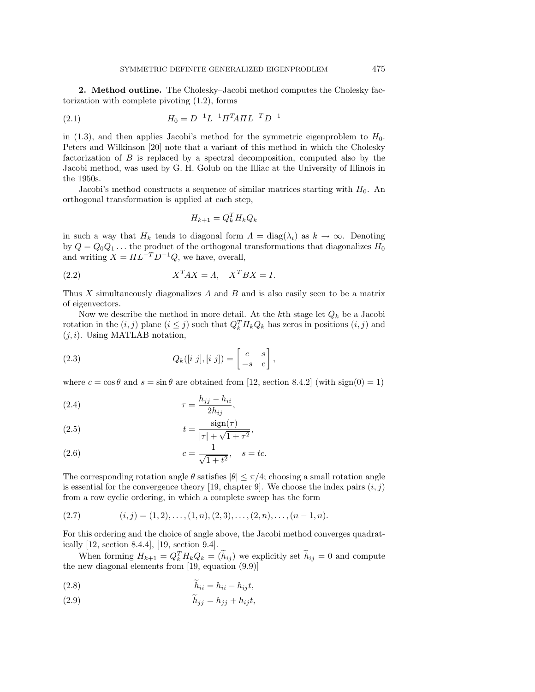**2. Method outline.** The Cholesky–Jacobi method computes the Cholesky factorization with complete pivoting (1.2), forms

(2.1) 
$$
H_0 = D^{-1}L^{-1}\Pi^T A\Pi L^{-T} D^{-1}
$$

in (1.3), and then applies Jacobi's method for the symmetric eigenproblem to  $H_0$ . Peters and Wilkinson [20] note that a variant of this method in which the Cholesky factorization of B is replaced by a spectral decomposition, computed also by the Jacobi method, was used by G. H. Golub on the Illiac at the University of Illinois in the 1950s.

Jacobi's method constructs a sequence of similar matrices starting with  $H_0$ . An orthogonal transformation is applied at each step,

$$
H_{k+1} = Q_k^T H_k Q_k
$$

in such a way that  $H_k$  tends to diagonal form  $\Lambda = \text{diag}(\lambda_i)$  as  $k \to \infty$ . Denoting by  $Q = Q_0 Q_1 \dots$  the product of the orthogonal transformations that diagonalizes  $H_0$ and writing  $X = \Pi L^{-T} D^{-1} Q$ , we have, overall,

$$
(2.2) \t\t XTAX = A, XTBX = I.
$$

Thus  $X$  simultaneously diagonalizes  $A$  and  $B$  and is also easily seen to be a matrix of eigenvectors.

Now we describe the method in more detail. At the kth stage let  $Q_k$  be a Jacobi rotation in the  $(i, j)$  plane  $(i \leq j)$  such that  $Q_k^T H_k Q_k$  has zeros in positions  $(i, j)$  and  $(j, i)$ . Using MATLAB notation,

(2.3) 
$$
Q_k([i\ j],[i\ j]) = \begin{bmatrix} c & s \\ -s & c \end{bmatrix},
$$

where  $c = \cos \theta$  and  $s = \sin \theta$  are obtained from [12, section 8.4.2] (with sign(0) = 1)

(2.4) 
$$
\tau = \frac{h_{jj} - h_{ii}}{2h_{ij}},
$$

(2.5) 
$$
t = \frac{\text{sign}(\tau)}{|\tau| + \sqrt{1 + \tau^2}},
$$

(2.6) 
$$
c = \frac{1}{\sqrt{1+t^2}}, \quad s = tc.
$$

The corresponding rotation angle  $\theta$  satisfies  $|\theta| \leq \pi/4$ ; choosing a small rotation angle is essential for the convergence theory [19, chapter 9]. We choose the index pairs  $(i, j)$ from a row cyclic ordering, in which a complete sweep has the form

$$
(2.7) \qquad (i,j) = (1,2), \ldots, (1,n), (2,3), \ldots, (2,n), \ldots, (n-1,n).
$$

For this ordering and the choice of angle above, the Jacobi method converges quadratically [12, section 8.4.4], [19, section 9.4].

When forming  $H_{k+1} = Q_k^T H_k Q_k = (h_{ij})$  we explicitly set  $h_{ij} = 0$  and compute the new diagonal elements from [19, equation (9.9)]

$$
\widetilde{h}_{ii} = h_{ii} - h_{ij}t,
$$

$$
\widetilde{h}_{jj} = h_{jj} + h_{ij}t,
$$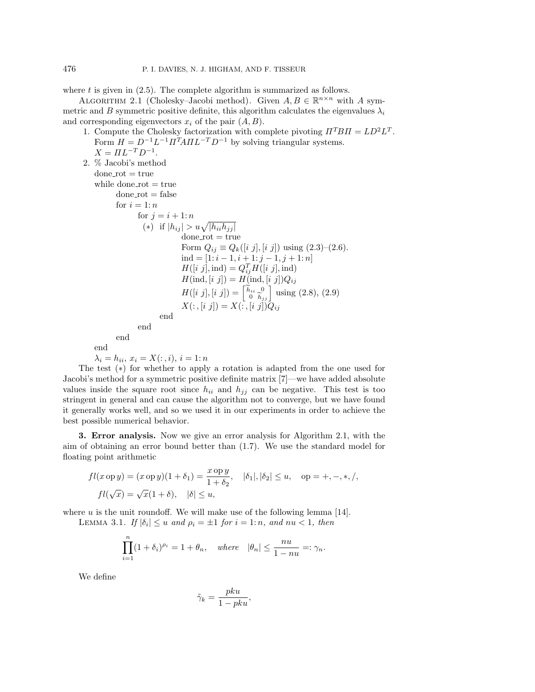where  $t$  is given in  $(2.5)$ . The complete algorithm is summarized as follows.

ALGORITHM 2.1 (Cholesky–Jacobi method). Given  $A, B \in \mathbb{R}^{n \times n}$  with A symmetric and B symmetric positive definite, this algorithm calculates the eigenvalues  $\lambda_i$ and corresponding eigenvectors  $x_i$  of the pair  $(A, B)$ .

1. Compute the Cholesky factorization with complete pivoting  $\Pi^T B \Pi = L D^2 L^T$ . Form  $H = D^{-1}L^{-1}\Pi^{T}A\Pi L^{-T}D^{-1}$  by solving triangular systems.  $X = \Pi L^{-T} D^{-1}.$ 2. % Jacobi's method  $done\_rot = true$ while done  $rot = true$  $done\_rot = false$ for  $i = 1:n$ for  $j = i + 1:n$ (\*) if  $|h_{ij}| > u\sqrt{|h_{ii}h_{jj}|}$  $done\_rot = true$ Form  $Q_{ij} \equiv Q_k([i\ j], [i\ j])$  using  $(2.3)$ – $(2.6)$ . ind =  $[1:i-1,i+1:j-1,j+1:n]$  $H([i\,\,j],\mathrm{ind}) = Q_{ij}^TH([i\,\,j],\mathrm{ind})$  $H(\text{ind}, [i \; j]) = H(\text{ind}, [i \; j])Q_{ij}$  $H([i\,\,j],[i\,\,j])=\begin{bmatrix} \widetilde{h}_{ii} \\ 0 \end{bmatrix}$  $\left[\begin{matrix}0\\h_{jj}\end{matrix}\right]$  using (2.8), (2.9)  $X(:, [i\ j]) = X(:, [i\ j])Q_{ij}$ end end

end

end

 $\lambda_i = h_{ii}, x_i = X(:, i), i = 1:n$ 

The test (∗) for whether to apply a rotation is adapted from the one used for Jacobi's method for a symmetric positive definite matrix [7]—we have added absolute values inside the square root since  $h_{ii}$  and  $h_{jj}$  can be negative. This test is too stringent in general and can cause the algorithm not to converge, but we have found it generally works well, and so we used it in our experiments in order to achieve the best possible numerical behavior.

**3. Error analysis.** Now we give an error analysis for Algorithm 2.1, with the aim of obtaining an error bound better than (1.7). We use the standard model for floating point arithmetic

$$
fl(x \text{ op } y) = (x \text{ op } y)(1 + \delta_1) = \frac{x \text{ op } y}{1 + \delta_2}, \quad |\delta_1|, |\delta_2| \le u, \quad \text{op} = +, -, *, /, fl(\sqrt{x}) = \sqrt{x}(1 + \delta), \quad |\delta| \le u,
$$

where  $u$  is the unit roundoff. We will make use of the following lemma [14].

LEMMA 3.1. If  $|\delta_i| \leq u$  and  $\rho_i = \pm 1$  for  $i = 1:n$ , and  $nu < 1$ , then

$$
\prod_{i=1}^{n} (1 + \delta_i)^{\rho_i} = 1 + \theta_n, \quad where \quad |\theta_n| \le \frac{nu}{1 - nu} =: \gamma_n.
$$

We define

$$
\tilde{\gamma}_k = \frac{pku}{1 - pku},
$$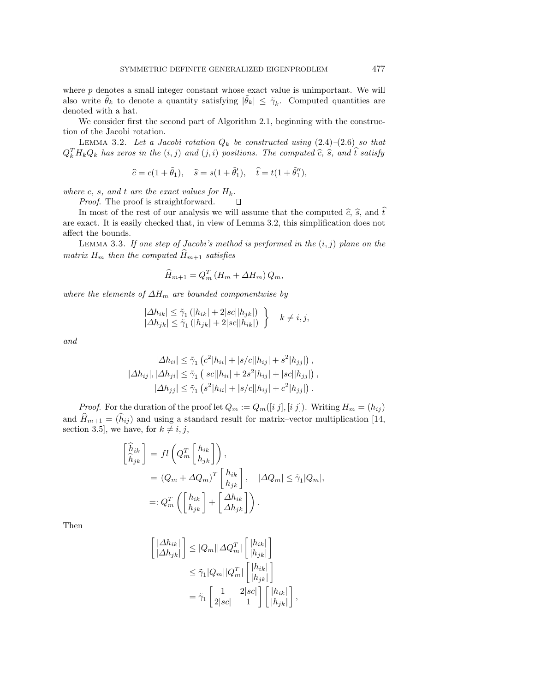where  $p$  denotes a small integer constant whose exact value is unimportant. We will also write  $\hat{\theta}_k$  to denote a quantity satisfying  $|\hat{\theta}_k| \leq \tilde{\gamma}_k$ . Computed quantities are denoted with a hat.

We consider first the second part of Algorithm 2.1, beginning with the construction of the Jacobi rotation.

LEMMA 3.2. Let a Jacobi rotation  $Q_k$  be constructed using  $(2.4)$ – $(2.6)$  so that  $Q_k^TH_kQ_k$  has zeros in the  $(i, j)$  and  $(j, i)$  positions. The computed  $\widehat{c}$ ,  $\widehat{s}$ , and  $\widehat{t}$  satisfy

$$
\widehat{c} = c(1 + \widetilde{\theta}_1), \quad \widehat{s} = s(1 + \widetilde{\theta}'_1), \quad \widehat{t} = t(1 + \widetilde{\theta}''_1),
$$

where c, s, and t are the exact values for  $H_k$ .

Proof. The proof is straightforward.

In most of the rest of our analysis we will assume that the computed  $\hat{c}$ ,  $\hat{s}$ , and  $\hat{t}$ are exact. It is easily checked that, in view of Lemma 3.2, this simplification does not affect the bounds.

 $\Box$ 

LEMMA 3.3. If one step of Jacobi's method is performed in the  $(i, j)$  plane on the matrix  $H_m$  then the computed  $\hat{H}_{m+1}$  satisfies

$$
\widehat{H}_{m+1} = Q_m^T \left( H_m + \Delta H_m \right) Q_m,
$$

where the elements of  $\Delta H_m$  are bounded componentwise by

$$
\left|\Delta h_{ik}\right| \leq \tilde{\gamma}_1\left(|h_{ik}| + 2|sc||h_{jk}|\right) |\Delta h_{jk}| \leq \tilde{\gamma}_1\left(|h_{jk}| + 2|sc||h_{ik}|\right) \quad k \neq i, j,
$$

and

$$
|\Delta h_{ii}| \leq \tilde{\gamma}_1 (c^2|h_{ii}| + |s/c||h_{ij}| + s^2|h_{jj}|),
$$
  

$$
|\Delta h_{ij}|, |\Delta h_{ji}| \leq \tilde{\gamma}_1 (|sc||h_{ii}| + 2s^2|h_{ij}| + |sc||h_{jj}|),
$$
  

$$
|\Delta h_{jj}| \leq \tilde{\gamma}_1 (s^2|h_{ii}| + |s/c||h_{ij}| + c^2|h_{jj}|).
$$

*Proof.* For the duration of the proof let  $Q_m := Q_m([i j], [i j])$ . Writing  $H_m = (h_{ij})$ and  $H_{m+1} = (h_{ij})$  and using a standard result for matrix–vector multiplication [14, section 3.5], we have, for  $k \neq i, j$ ,

$$
\begin{aligned}\n\begin{bmatrix}\n\hat{h}_{ik} \\
\hat{h}_{jk}\n\end{bmatrix} &= fl\left(Q_m^T \begin{bmatrix} h_{ik} \\
h_{jk}\n\end{bmatrix}\right), \\
&= (Q_m + \Delta Q_m)^T \begin{bmatrix} h_{ik} \\
h_{jk}\n\end{bmatrix}, \quad |\Delta Q_m| \leq \tilde{\gamma}_1 |Q_m|, \\
&=: Q_m^T \left(\begin{bmatrix} h_{ik} \\
h_{jk}\n\end{bmatrix} + \begin{bmatrix} \Delta h_{ik} \\
\Delta h_{jk}\n\end{bmatrix}\right).\n\end{aligned}
$$

Then

$$
\begin{aligned}\n\begin{bmatrix} |\Delta h_{ik}| \\
|\Delta h_{jk}| \end{bmatrix} &\leq |Q_m| |\Delta Q_m^T| \begin{bmatrix} |h_{ik}| \\
|h_{jk}| \end{bmatrix} \\
&\leq \tilde{\gamma}_1 |Q_m| |Q_m^T| \begin{bmatrix} |h_{ik}| \\
|h_{jk}| \end{bmatrix} \\
&= \tilde{\gamma}_1 \begin{bmatrix} 1 & 2|sc| \\ 2|sc| & 1 \end{bmatrix} \begin{bmatrix} |h_{ik}| \\
|h_{jk}| \end{bmatrix},\n\end{aligned}
$$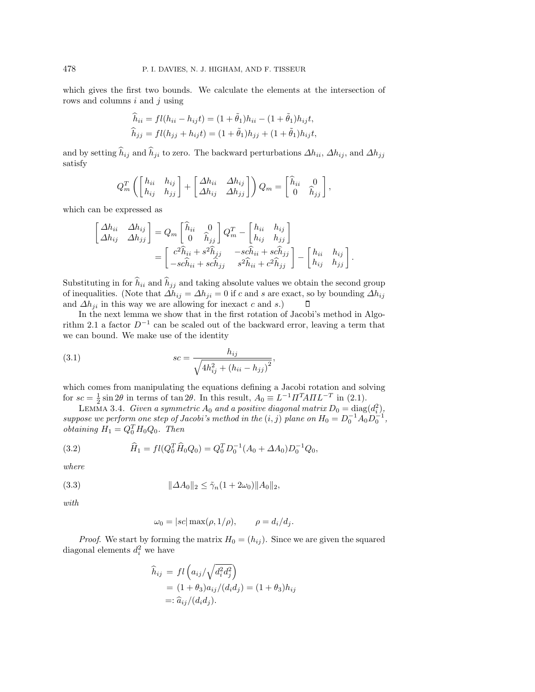which gives the first two bounds. We calculate the elements at the intersection of rows and columns  $i$  and  $j$  using

$$
\hat{h}_{ii} = fl(h_{ii} - h_{ij}t) = (1 + \tilde{\theta}_1)h_{ii} - (1 + \tilde{\theta}_1)h_{ij}t,\n\hat{h}_{jj} = fl(h_{jj} + h_{ij}t) = (1 + \tilde{\theta}_1)h_{jj} + (1 + \tilde{\theta}_1)h_{ij}t,
$$

and by setting  $h_{ij}$  and  $h_{ji}$  to zero. The backward perturbations  $\Delta h_{ii}$ ,  $\Delta h_{ij}$ , and  $\Delta h_{jj}$ satisfy

$$
Q_m^T \left( \begin{bmatrix} h_{ii} & h_{ij} \\ h_{ij} & h_{jj} \end{bmatrix} + \begin{bmatrix} \Delta h_{ii} & \Delta h_{ij} \\ \Delta h_{ij} & \Delta h_{jj} \end{bmatrix} \right) Q_m = \begin{bmatrix} \hat{h}_{ii} & 0 \\ 0 & \hat{h}_{jj} \end{bmatrix},
$$

which can be expressed as

$$
\begin{bmatrix}\n\Delta h_{ii} & \Delta h_{ij} \\
\Delta h_{ij} & \Delta h_{jj}\n\end{bmatrix} = Q_m \begin{bmatrix}\n\hat{h}_{ii} & 0 \\
0 & \hat{h}_{jj}\n\end{bmatrix} Q_m^T - \begin{bmatrix}\nh_{ii} & h_{ij} \\
h_{ij} & h_{jj}\n\end{bmatrix}
$$
\n
$$
= \begin{bmatrix}\nc^2 \hat{h}_{ii} + s^2 \hat{h}_{jj} & -s c \hat{h}_{ii} + s c \hat{h}_{jj} \\
-s c \hat{h}_{ii} + s c \hat{h}_{jj} & s^2 \hat{h}_{ii} + c^2 \hat{h}_{jj}\n\end{bmatrix} - \begin{bmatrix}\nh_{ii} & h_{ij} \\
h_{ij} & h_{jj}\n\end{bmatrix}.
$$

Substituting in for  $h_{ii}$  and  $h_{jj}$  and taking absolute values we obtain the second group of inequalities. (Note that  $\Delta h_{ij} = \Delta h_{ji} = 0$  if c and s are exact, so by bounding  $\Delta h_{ij}$ and  $\Delta h_{ii}$  in this way we are allowing for inexact c and s.)  $\Box$ 

In the next lemma we show that in the first rotation of Jacobi's method in Algorithm 2.1 a factor  $D^{-1}$  can be scaled out of the backward error, leaving a term that we can bound. We make use of the identity

(3.1) 
$$
sc = \frac{h_{ij}}{\sqrt{4h_{ij}^2 + (h_{ii} - h_{jj})^2}},
$$

which comes from manipulating the equations defining a Jacobi rotation and solving for  $sc = \frac{1}{2} \sin 2\theta$  in terms of  $\tan 2\theta$ . In this result,  $A_0 \equiv L^{-1} \Pi^{T} A \Pi L^{-T}$  in (2.1).

LEMMA 3.4. Given a symmetric  $A_0$  and a positive diagonal matrix  $D_0 = \text{diag}(d_i^2)$ , suppose we perform one step of Jacobi's method in the  $(i, j)$  plane on  $H_0 = D_0^{-1} A_0 D_0^{-1}$ , *obtaining*  $H_1 = Q_0^T H_0 Q_0$ . Then

(3.2) 
$$
\widehat{H}_1 = fl(Q_0^T \widehat{H}_0 Q_0) = Q_0^T D_0^{-1} (A_0 + \Delta A_0) D_0^{-1} Q_0,
$$

where

(3.3) 
$$
\|\Delta A_0\|_2 \leq \tilde{\gamma}_n (1 + 2\omega_0) \|A_0\|_2,
$$

with

$$
\omega_0 = |sc| \max(\rho, 1/\rho), \qquad \rho = d_i/d_j.
$$

*Proof.* We start by forming the matrix  $H_0 = (h_{ij})$ . Since we are given the squared diagonal elements  $d_i^2$  we have

$$
\widehat{h}_{ij} = fl\left(a_{ij}/\sqrt{d_i^2 d_j^2}\right)
$$
  
=  $(1 + \theta_3)a_{ij}/(d_i d_j) = (1 + \theta_3)h_{ij}$   
=:  $\widehat{a}_{ij}/(d_i d_j)$ .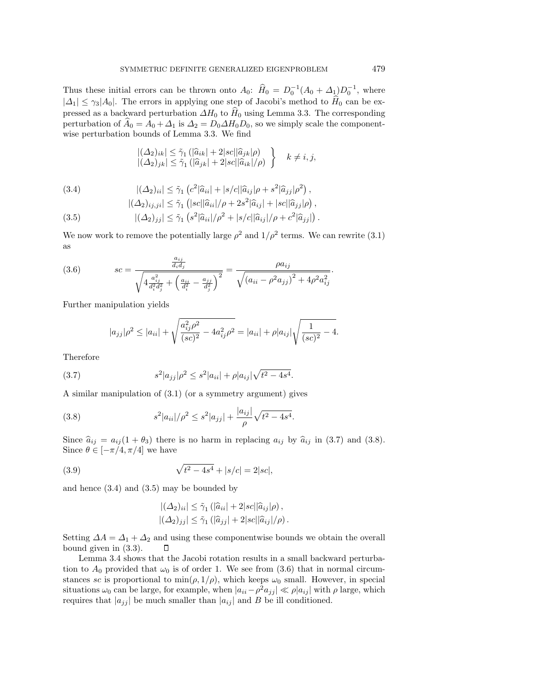Thus these initial errors can be thrown onto  $A_0$ :  $\widehat{H}_0 = D_0^{-1}(A_0 + \Delta_1)D_0^{-1}$ , where  $|\Delta_1| \leq \gamma_3 |A_0|$ . The errors in applying one step of Jacobi's method to  $\hat{H}_0$  can be expressed as a backward perturbation  $\Delta H_0$  to  $\hat{H}_0$  using Lemma 3.3. The corresponding perturbation of  $\widehat{A}_0 = A_0 + \Delta_1$  is  $\Delta_2 = D_0 \Delta H_0 D_0$ , so we simply scale the componentwise perturbation bounds of Lemma 3.3. We find

$$
\left| \frac{(\Delta_2)_{ik}}{(\Delta_2)_{jk}} \right| \leq \tilde{\gamma}_1 \left( |\hat{a}_{ik}| + 2|sc||\hat{a}_{jk}| \rho \right) \atop |(\Delta_2)_{jk}| \leq \tilde{\gamma}_1 \left( |\hat{a}_{jk}| + 2|sc||\hat{a}_{ik}|/\rho \right) \quad k \neq i, j,
$$

(3.4) 
$$
|(\Delta_2)_{ii}| \leq \tilde{\gamma}_1 (c^2|\hat{a}_{ii}| + |s/c||\hat{a}_{ij}|\rho + s^2|\hat{a}_{jj}|\rho^2),
$$

(3.5) 
$$
|(\Delta_2)_{ij,ji}| \leq \tilde{\gamma}_1 (|sc||\hat{a}_{ii}|/\rho + 2s^2|\hat{a}_{ij}| + |sc||\hat{a}_{jj}|\rho),
$$

$$
|(\Delta_2)_{jj}| \leq \tilde{\gamma}_1 (s^2|\hat{a}_{ii}|/\rho^2 + |s/c||\hat{a}_{ij}|/\rho + c^2|\hat{a}_{jj}|).
$$

We now work to remove the potentially large  $\rho^2$  and  $1/\rho^2$  terms. We can rewrite (3.1) as

(3.6) 
$$
sc = \frac{\frac{a_{ij}}{d_i d_j}}{\sqrt{4 \frac{a_{ij}^2}{d_i^2 d_j^2} + \left(\frac{a_{ii}}{d_i^2} - \frac{a_{jj}}{d_j^2}\right)^2}} = \frac{\rho a_{ij}}{\sqrt{(a_{ii} - \rho^2 a_{jj})^2 + 4\rho^2 a_{ij}^2}}.
$$

Further manipulation yields

$$
|a_{jj}|\rho^2 \le |a_{ii}| + \sqrt{\frac{a_{ij}^2 \rho^2}{(sc)^2} - 4a_{ij}^2 \rho^2} = |a_{ii}| + \rho |a_{ij}| \sqrt{\frac{1}{(sc)^2} - 4}.
$$

Therefore

(3.7) 
$$
s^{2}|a_{jj}|\rho^{2} \leq s^{2}|a_{ii}| + \rho|a_{ij}|\sqrt{t^{2}-4s^{4}}.
$$

A similar manipulation of (3.1) (or a symmetry argument) gives

(3.8) 
$$
s^{2}|a_{ii}|/\rho^{2} \leq s^{2}|a_{jj}| + \frac{|a_{ij}|}{\rho}\sqrt{t^{2} - 4s^{4}}.
$$

Since  $\hat{a}_{ij} = a_{ij} (1 + \theta_3)$  there is no harm in replacing  $a_{ij}$  by  $\hat{a}_{ij}$  in (3.7) and (3.8). Since  $\theta \in [-\pi/4, \pi/4]$  we have

(3.9) 
$$
\sqrt{t^2 - 4s^4} + |s/c| = 2|sc|,
$$

and hence (3.4) and (3.5) may be bounded by

$$
\left| (\Delta_2)_{ii} \right| \leq \tilde{\gamma}_1 \left( |\widehat{a}_{ii}| + 2|sc||\widehat{a}_{ij}|\rho \right),
$$
  

$$
| (\Delta_2)_{jj} | \leq \tilde{\gamma}_1 \left( |\widehat{a}_{jj}| + 2|sc||\widehat{a}_{ij}|/\rho \right).
$$

Setting  $\Delta A = \Delta_1 + \Delta_2$  and using these componentwise bounds we obtain the overall bound given in (3.3).  $\Box$ 

Lemma 3.4 shows that the Jacobi rotation results in a small backward perturbation to  $A_0$  provided that  $\omega_0$  is of order 1. We see from (3.6) that in normal circumstances sc is proportional to  $\min(\rho, 1/\rho)$ , which keeps  $\omega_0$  small. However, in special situations  $\omega_0$  can be large, for example, when  $|a_{ii}-\rho^2 a_{jj}| \ll \rho |a_{ij}|$  with  $\rho$  large, which requires that  $|a_{ij}|$  be much smaller than  $|a_{ij}|$  and B be ill conditioned.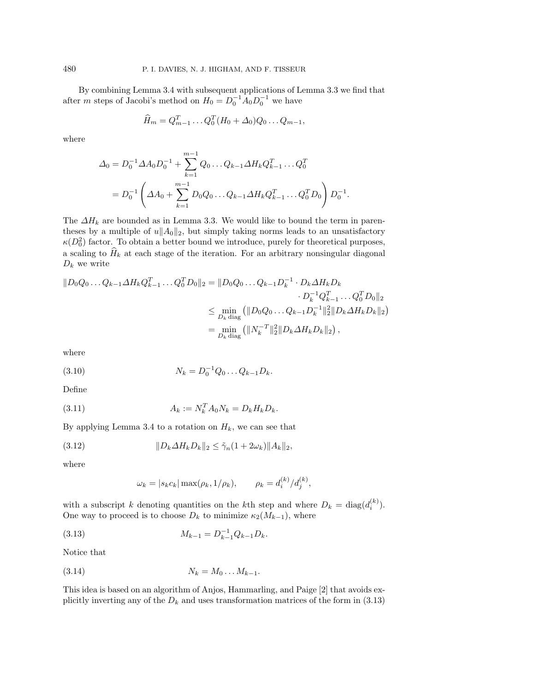By combining Lemma 3.4with subsequent applications of Lemma 3.3 we find that after *m* steps of Jacobi's method on  $H_0 = D_0^{-1} A_0 D_0^{-1}$  we have

$$
\widehat{H}_m = Q_{m-1}^T \dots Q_0^T (H_0 + \Delta_0) Q_0 \dots Q_{m-1},
$$

where

$$
\Delta_0 = D_0^{-1} \Delta A_0 D_0^{-1} + \sum_{k=1}^{m-1} Q_0 \dots Q_{k-1} \Delta H_k Q_{k-1}^T \dots Q_0^T
$$
  
=  $D_0^{-1} \left( \Delta A_0 + \sum_{k=1}^{m-1} D_0 Q_0 \dots Q_{k-1} \Delta H_k Q_{k-1}^T \dots Q_0^T D_0 \right) D_0^{-1}.$ 

The  $\Delta H_k$  are bounded as in Lemma 3.3. We would like to bound the term in parentheses by a multiple of  $u\|A_0\|_2$ , but simply taking norms leads to an unsatisfactory  $\kappa(D_0^2)$  factor. To obtain a better bound we introduce, purely for theoretical purposes, a scaling to  $\hat{H}_k$  at each stage of the iteration. For an arbitrary nonsingular diagonal  $D_k$  we write

$$
||D_0Q_0 \dots Q_{k-1}\Delta H_k Q_{k-1}^T \dots Q_0^T D_0||_2 = ||D_0Q_0 \dots Q_{k-1}D_k^{-1} \cdot D_k \Delta H_k D_k
$$
  
\n
$$
\cdot D_k^{-1}Q_{k-1}^T \dots Q_0^T D_0||_2
$$
  
\n
$$
\leq \min_{D_k \text{ diag}} (||D_0Q_0 \dots Q_{k-1}D_k^{-1}||_2^2 ||D_k \Delta H_k D_k||_2)
$$
  
\n
$$
= \min_{D_k \text{ diag}} (||N_k^{-T}||_2^2 ||D_k \Delta H_k D_k||_2),
$$

where

(3.10) 
$$
N_k = D_0^{-1} Q_0 \dots Q_{k-1} D_k.
$$

Define

(3.11) 
$$
A_k := N_k^T A_0 N_k = D_k H_k D_k.
$$

By applying Lemma 3.4 to a rotation on  $H_k$ , we can see that

(3.12) 
$$
||D_k \Delta H_k D_k||_2 \leq \tilde{\gamma}_n (1 + 2\omega_k) ||A_k||_2,
$$

where

$$
\omega_k = |s_k c_k| \max(\rho_k, 1/\rho_k), \qquad \rho_k = d_i^{(k)}/d_j^{(k)},
$$

with a subscript k denoting quantities on the kth step and where  $D_k = \text{diag}(d_i^{(k)})$ . One way to proceed is to choose  $D_k$  to minimize  $\kappa_2(M_{k-1})$ , where

$$
(3.13) \t\t M_{k-1} = D_{k-1}^{-1} Q_{k-1} D_k.
$$

Notice that

$$
(3.14) \t\t N_k = M_0 \dots M_{k-1}.
$$

This idea is based on an algorithm of Anjos, Hammarling, and Paige [2] that avoids explicitly inverting any of the  $D_k$  and uses transformation matrices of the form in (3.13)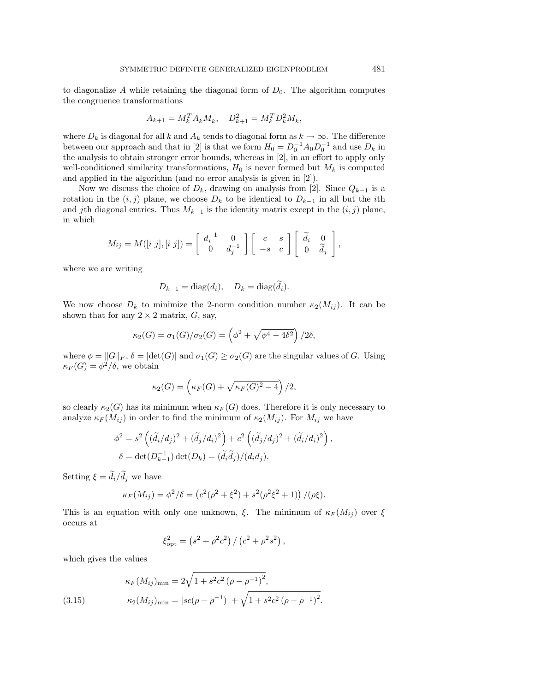to diagonalize A while retaining the diagonal form of  $D_0$ . The algorithm computes the congruence transformations

$$
A_{k+1} = M_k^T A_k M_k, \quad D_{k+1}^2 = M_k^T D_k^2 M_k,
$$

where  $D_k$  is diagonal for all k and  $A_k$  tends to diagonal form as  $k \to \infty$ . The difference between our approach and that in [2] is that we form  $H_0 = D_0^{-1} A_0 D_0^{-1}$  and use  $D_k$  in the analysis to obtain stronger error bounds, whereas in [2], in an effort to apply only well-conditioned similarity transformations,  $H_0$  is never formed but  $M_k$  is computed and applied in the algorithm (and no error analysis is given in [2]).

Now we discuss the choice of  $D_k$ , drawing on analysis from [2]. Since  $Q_{k-1}$  is a rotation in the  $(i, j)$  plane, we choose  $D_k$  to be identical to  $D_{k-1}$  in all but the *i*th and jth diagonal entries. Thus  $M_{k-1}$  is the identity matrix except in the  $(i, j)$  plane, in which

$$
M_{ij} = M([i\,\,j],[i\,\,j]) = \left[\begin{array}{cc} d_i^{-1} & 0 \\ 0 & d_j^{-1} \end{array}\right] \left[\begin{array}{cc} c & s \\ -s & c \end{array}\right] \left[\begin{array}{cc} \widetilde{d}_i & 0 \\ 0 & \widetilde{d}_j \end{array}\right],
$$

where we are writing

$$
D_{k-1} = \text{diag}(d_i), \quad D_k = \text{diag}(\tilde{d}_i).
$$

We now choose  $D_k$  to minimize the 2-norm condition number  $\kappa_2(M_{ij})$ . It can be shown that for any  $2 \times 2$  matrix, G, say,

$$
\kappa_2(G) = \sigma_1(G)/\sigma_2(G) = \left(\phi^2 + \sqrt{\phi^4 - 4\delta^2}\right)/2\delta,
$$

where  $\phi = ||G||_F$ ,  $\delta = |\det(G)|$  and  $\sigma_1(G) \ge \sigma_2(G)$  are the singular values of G. Using  $\kappa_F(G) = \phi^2/\delta$ , we obtain

$$
\kappa_2(G) = \left(\kappa_F(G) + \sqrt{\kappa_F(G)^2 - 4}\right)/2,
$$

so clearly  $\kappa_2(G)$  has its minimum when  $\kappa_F(G)$  does. Therefore it is only necessary to analyze  $\kappa_F(M_{ij})$  in order to find the minimum of  $\kappa_2(M_{ij})$ . For  $M_{ij}$  we have

$$
\phi^2 = s^2 \left( (\tilde{d}_i/d_j)^2 + (\tilde{d}_j/d_i)^2 \right) + c^2 \left( (\tilde{d}_j/d_j)^2 + (\tilde{d}_i/d_i)^2 \right),
$$
  

$$
\delta = \det(D_{k-1}^{-1}) \det(D_k) = (\tilde{d}_i \tilde{d}_j) / (d_i d_j).
$$

Setting  $\xi = d_i/d_j$  we have

$$
\kappa_F(M_{ij}) = \phi^2/\delta = (c^2(\rho^2 + \xi^2) + s^2(\rho^2 \xi^2 + 1)) / (\rho \xi).
$$

This is an equation with only one unknown, ξ. The minimum of  $\kappa_F(M_{ij})$  over ξ occurs at

$$
\xi_{\rm opt}^2 = (s^2 + \rho^2 c^2) / (c^2 + \rho^2 s^2),
$$

which gives the values

(3.15) 
$$
\kappa_F(M_{ij})_{\min} = 2\sqrt{1 + s^2 c^2 (\rho - \rho^{-1})^2},
$$

$$
\kappa_2(M_{ij})_{\min} = |sc(\rho - \rho^{-1})| + \sqrt{1 + s^2 c^2 (\rho - \rho^{-1})^2}.
$$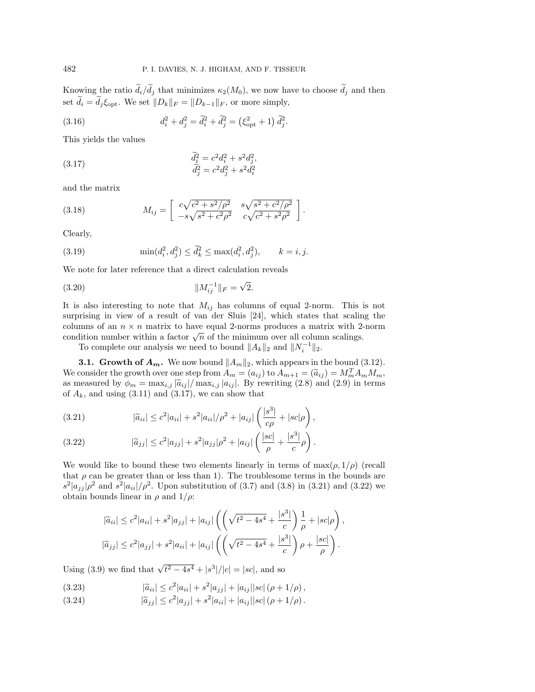Knowing the ratio  $d_i/d_j$  that minimizes  $\kappa_2(M_0)$ , we now have to choose  $d_j$  and then set  $d_i = d_j \xi_{\text{opt}}$ . We set  $||D_k||_F = ||D_{k-1}||_F$ , or more simply,

(3.16) 
$$
d_i^2 + d_j^2 = \tilde{d}_i^2 + \tilde{d}_j^2 = (\xi_{\text{opt}}^2 + 1) \, \tilde{d}_j^2.
$$

This yields the values

(3.17) 
$$
\begin{aligned}\n\tilde{d}_i^2 &= c^2 d_i^2 + s^2 d_j^2, \\
\tilde{d}_j^2 &= c^2 d_j^2 + s^2 d_i^2\n\end{aligned}
$$

and the matrix

(3.18) 
$$
M_{ij} = \begin{bmatrix} c\sqrt{c^2 + s^2/\rho^2} & s\sqrt{s^2 + c^2/\rho^2} \\ -s\sqrt{s^2 + c^2\rho^2} & c\sqrt{c^2 + s^2\rho^2} \end{bmatrix}.
$$

Clearly,

(3.19) 
$$
\min(d_i^2, d_j^2) \le \tilde{d}_k^2 \le \max(d_i^2, d_j^2), \qquad k = i, j.
$$

We note for later reference that a direct calculation reveals

(3.20) 
$$
||M_{ij}^{-1}||_F = \sqrt{2}.
$$

It is also interesting to note that  $M_{ij}$  has columns of equal 2-norm. This is not surprising in view of a result of van der Sluis [24], which states that scaling the columns of an  $n \times n$  matrix to have equal 2-norms produces a matrix with 2-norm condition number within a factor  $\sqrt{n}$  of the minimum over all column scalings.

To complete our analysis we need to bound  $||A_k||_2$  and  $||N_i^{-1}||_2$ .

**3.1. Growth of**  $A_m$ **.** We now bound  $||A_m||_2$ , which appears in the bound (3.12). We consider the growth over one step from  $A_m = (a_{ij})$  to  $A_{m+1} = (\tilde{a}_{ij}) = M_m^T A_m M_m$ , as measured by  $\phi_m = \max_{i,j} |\tilde{a}_{ij}| / \max_{i,j} |a_{ij}|$ . By rewriting (2.8) and (2.9) in terms of  $A_k$ , and using  $(3.11)$  and  $(3.17)$ , we can show that

(3.21) 
$$
|\tilde{a}_{ii}| \leq c^2 |a_{ii}| + s^2 |a_{ii}|/\rho^2 + |a_{ij}| \left( \frac{|s^3|}{c\rho} + |sc|\rho \right),
$$

(3.22) 
$$
|\widetilde{a}_{jj}| \leq c^2 |a_{jj}| + s^2 |a_{jj}| \rho^2 + |a_{ij}| \left( \frac{|sc|}{\rho} + \frac{|s^3|}{c} \rho \right).
$$

We would like to bound these two elements linearly in terms of  $\max(\rho, 1/\rho)$  (recall that  $\rho$  can be greater than or less than 1). The troublesome terms in the bounds are  $s^{2}|a_{ij}|\rho^{2}$  and  $s^{2}|a_{ii}|/\rho^{2}$ . Upon substitution of (3.7) and (3.8) in (3.21) and (3.22) we obtain bounds linear in  $\rho$  and  $1/\rho$ :

$$
|\tilde{a}_{ii}| \leq c^2 |a_{ii}| + s^2 |a_{jj}| + |a_{ij}| \left( \left( \sqrt{t^2 - 4s^4} + \frac{|s^3|}{c} \right) \frac{1}{\rho} + |sc|\rho \right),
$$
  

$$
|\tilde{a}_{jj}| \leq c^2 |a_{jj}| + s^2 |a_{ii}| + |a_{ij}| \left( \left( \sqrt{t^2 - 4s^4} + \frac{|s^3|}{c} \right) \rho + \frac{|sc|}{\rho} \right).
$$

Using (3.9) we find that  $\sqrt{t^2 - 4s^4} + |s^3|/|c| = |sc|$ , and so

 $(3.23)$   $|\widetilde{a}_{ii}| \leq c^2 |a_{ii}| + s^2 |a_{ij}| + |a_{ij}| |sc| (\rho + 1/\rho),$ 

(3.24) 
$$
|\tilde{a}_{jj}| \le c^2 |a_{jj}| + s^2 |a_{ii}| + |a_{ij}| |sc| ( \rho + 1/\rho ).
$$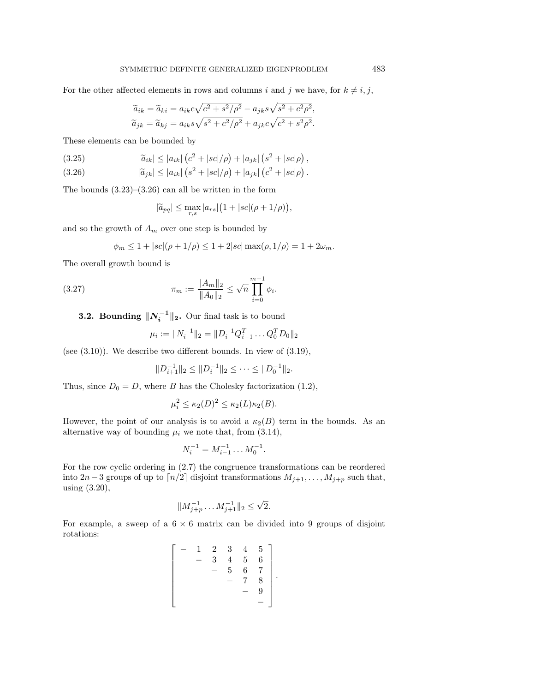For the other affected elements in rows and columns i and j we have, for  $k \neq i, j$ ,

$$
\widetilde{a}_{ik} = \widetilde{a}_{ki} = a_{ik}c\sqrt{c^2 + s^2/\rho^2} - a_{jk}s\sqrt{s^2 + c^2\rho^2},
$$
  

$$
\widetilde{a}_{jk} = \widetilde{a}_{kj} = a_{ik}s\sqrt{s^2 + c^2/\rho^2} + a_{jk}c\sqrt{c^2 + s^2\rho^2}.
$$

These elements can be bounded by

(3.25) 
$$
|\tilde{a}_{ik}| \le |a_{ik}| (c^2 + |sc|/\rho) + |a_{jk}| (s^2 + |sc|\rho),
$$

(3.26) 
$$
|\tilde{a}_{jk}| \le |a_{ik}| (s^2 + |sc|/\rho) + |a_{jk}| (c^2 + |sc|\rho).
$$

The bounds  $(3.23)$ – $(3.26)$  can all be written in the form

$$
|\widetilde{a}_{pq}| \le \max_{r,s} |a_{rs}| (1+|sc|(\rho+1/\rho)),
$$

and so the growth of  $A_m$  over one step is bounded by

$$
\phi_m \le 1 + |sc|(\rho + 1/\rho) \le 1 + 2|sc|\max(\rho, 1/\rho) = 1 + 2\omega_m.
$$

The overall growth bound is

(3.27) 
$$
\pi_m := \frac{\|A_m\|_2}{\|A_0\|_2} \le \sqrt{n} \prod_{i=0}^{m-1} \phi_i.
$$

**3.2. Bounding**  $||N_i^{-1}||_2$ . Our final task is to bound

$$
\mu_i := \|N_i^{-1}\|_2 = \|D_i^{-1}Q_{i-1}^T \dots Q_0^T D_0\|_2
$$

(see  $(3.10)$ ). We describe two different bounds. In view of  $(3.19)$ ,

$$
||D_{i+1}^{-1}||_2 \le ||D_i^{-1}||_2 \le \cdots \le ||D_0^{-1}||_2.
$$

Thus, since  $D_0 = D$ , where B has the Cholesky factorization (1.2),

$$
\mu_i^2 \le \kappa_2(D)^2 \le \kappa_2(L)\kappa_2(B).
$$

However, the point of our analysis is to avoid a  $\kappa_2(B)$  term in the bounds. As an alternative way of bounding  $\mu_i$  we note that, from (3.14),

$$
N_i^{-1} = M_{i-1}^{-1} \dots M_0^{-1}.
$$

For the row cyclic ordering in (2.7) the congruence transformations can be reordered into 2n − 3 groups of up to  $\lceil n/2 \rceil$  disjoint transformations  $M_{j+1}, \ldots, M_{j+p}$  such that, using (3.20),

$$
||M_{j+p}^{-1} \dots M_{j+1}^{-1}||_2 \le \sqrt{2}.
$$

For example, a sweep of a  $6 \times 6$  matrix can be divided into 9 groups of disjoint rotations:

$$
\left[\begin{array}{rrrrr} - & 1 & 2 & 3 & 4 & 5 \\ & - & 3 & 4 & 5 & 6 \\ & & - & 5 & 6 & 7 \\ & & & - & 7 & 8 \\ & & & & - & 9 \\ & & & & & - \end{array}\right].
$$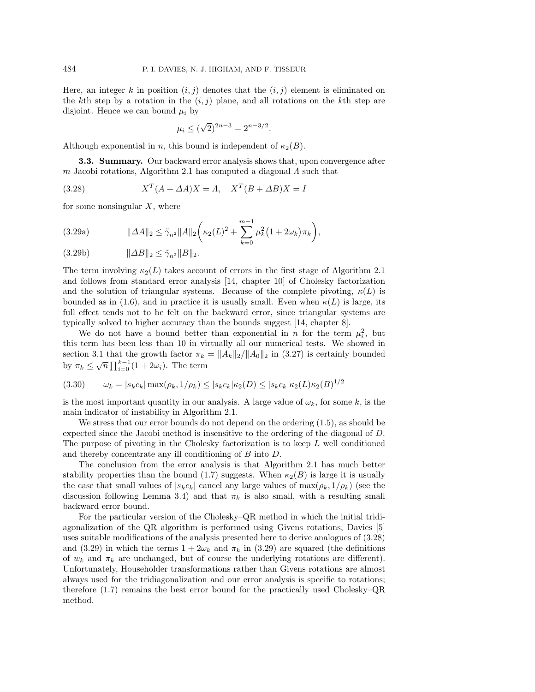Here, an integer k in position  $(i, j)$  denotes that the  $(i, j)$  element is eliminated on the kth step by a rotation in the  $(i, j)$  plane, and all rotations on the kth step are disjoint. Hence we can bound  $\mu_i$  by

$$
\mu_i \le (\sqrt{2})^{2n-3} = 2^{n-3/2}.
$$

Although exponential in n, this bound is independent of  $\kappa_2(B)$ .

**3.3. Summary.** Our backward error analysis shows that, upon convergence after m Jacobi rotations, Algorithm 2.1 has computed a diagonal  $\Lambda$  such that

(3.28) 
$$
X^T (A + \Delta A) X = A, \quad X^T (B + \Delta B) X = I
$$

for some nonsingular  $X$ , where

(3.29a) 
$$
\|\Delta A\|_2 \leq \tilde{\gamma}_{n^2} \|A\|_2 \bigg(\kappa_2(L)^2 + \sum_{k=0}^{m-1} \mu_k^2 (1 + 2\omega_k) \pi_k\bigg),
$$

 $(3.29b)$   $||\Delta B||_2 \leq \tilde{\gamma}_{n2} ||B||_2.$ 

The term involving  $\kappa_2(L)$  takes account of errors in the first stage of Algorithm 2.1 and follows from standard error analysis [14, chapter 10] of Cholesky factorization and the solution of triangular systems. Because of the complete pivoting,  $\kappa(L)$  is bounded as in (1.6), and in practice it is usually small. Even when  $\kappa(L)$  is large, its full effect tends not to be felt on the backward error, since triangular systems are typically solved to higher accuracy than the bounds suggest [14, chapter 8].

We do not have a bound better than exponential in n for the term  $\mu_i^2$ , but this term has been less than 10 in virtually all our numerical tests. We showed in section 3.1 that the growth factor  $\pi_k = ||A_k||_2/||A_0||_2$  in (3.27) is certainly bounded by  $\pi_k \leq \sqrt{n} \prod_{i=0}^{k-1} (1 + 2\omega_i)$ . The term

$$
(3.30) \qquad \omega_k = |s_k c_k| \max(\rho_k, 1/\rho_k) \le |s_k c_k| \kappa_2(D) \le |s_k c_k| \kappa_2(L) \kappa_2(B)^{1/2}
$$

is the most important quantity in our analysis. A large value of  $\omega_k$ , for some k, is the main indicator of instability in Algorithm 2.1.

We stress that our error bounds do not depend on the ordering  $(1.5)$ , as should be expected since the Jacobi method is insensitive to the ordering of the diagonal of D. The purpose of pivoting in the Cholesky factorization is to keep  $L$  well conditioned and thereby concentrate any ill conditioning of B into D.

The conclusion from the error analysis is that Algorithm 2.1 has much better stability properties than the bound (1.7) suggests. When  $\kappa_2(B)$  is large it is usually the case that small values of  $|s_kc_k|$  cancel any large values of  $\max(\rho_k, 1/\rho_k)$  (see the discussion following Lemma 3.4) and that  $\pi_k$  is also small, with a resulting small backward error bound.

For the particular version of the Cholesky–QR method in which the initial tridiagonalization of the QR algorithm is performed using Givens rotations, Davies [5] uses suitable modifications of the analysis presented here to derive analogues of (3.28) and (3.29) in which the terms  $1 + 2\omega_k$  and  $\pi_k$  in (3.29) are squared (the definitions of  $w_k$  and  $\pi_k$  are unchanged, but of course the underlying rotations are different). Unfortunately, Householder transformations rather than Givens rotations are almost always used for the tridiagonalization and our error analysis is specific to rotations; therefore (1.7) remains the best error bound for the practically used Cholesky–QR method.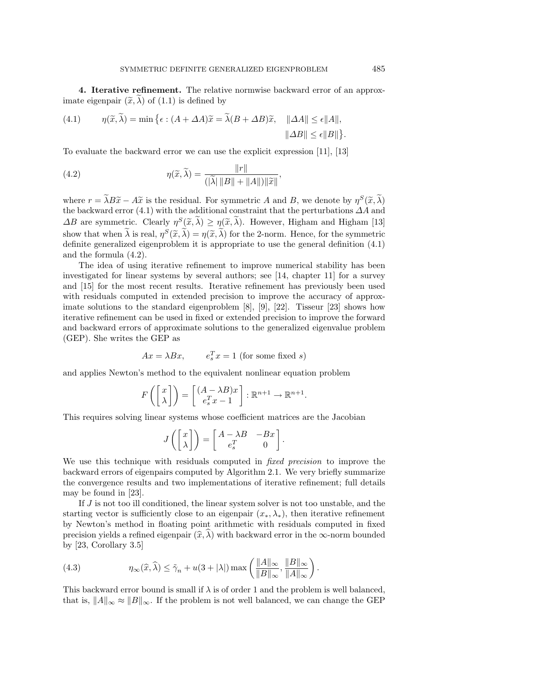**4. Iterative refinement.** The relative normwise backward error of an approximate eigenpair  $(\tilde{x}, \lambda)$  of  $(1.1)$  is defined by

(4.1) 
$$
\eta(\widetilde{x}, \widetilde{\lambda}) = \min \left\{ \epsilon : (A + \Delta A)\widetilde{x} = \widetilde{\lambda}(B + \Delta B)\widetilde{x}, \quad \|\Delta A\| \le \epsilon \|A\|, \\ \|\Delta B\| \le \epsilon \|B\| \right\}.
$$

To evaluate the backward error we can use the explicit expression [11], [13]

(4.2) 
$$
\eta(\widetilde{x}, \widetilde{\lambda}) = \frac{\|r\|}{(\|\widetilde{\lambda}\| \|B\| + \|A\|) \|\widetilde{x}\|},
$$

where  $r = \tilde{\lambda}B\tilde{x} - A\tilde{x}$  is the residual. For symmetric A and B, we denote by  $\eta^S(\tilde{x}, \tilde{\lambda})$ the backward error (4.1) with the additional constraint that the perturbations  $\Delta A$  and  $\Delta B$  are symmetric. Clearly  $\eta^S(\tilde{x}, \tilde{\lambda}) \geq \eta(\tilde{x}, \tilde{\lambda})$ . However, Higham and Higham [13] show that when  $\tilde{\lambda}$  is real,  $\eta^S(\tilde{x}, \tilde{\lambda}) = \eta(\tilde{x}, \tilde{\lambda})$  for the 2-norm. Hence, for the symmetric definite generalized eigenproblem it is appropriate to use the general definition (4.1) and the formula (4.2).

The idea of using iterative refinement to improve numerical stability has been investigated for linear systems by several authors; see [14, chapter 11] for a survey and [15] for the most recent results. Iterative refinement has previously been used with residuals computed in extended precision to improve the accuracy of approximate solutions to the standard eigenproblem [8], [9], [22]. Tisseur [23] shows how iterative refinement can be used in fixed or extended precision to improve the forward and backward errors of approximate solutions to the generalized eigenvalue problem (GEP). She writes the GEP as

$$
Ax = \lambda Bx, \qquad e_s^T x = 1 \text{ (for some fixed } s\text{)}
$$

and applies Newton's method to the equivalent nonlinear equation problem

$$
F\left(\begin{bmatrix} x \\ \lambda \end{bmatrix}\right) = \begin{bmatrix} (A - \lambda B)x \\ e_s^T x - 1 \end{bmatrix} : \mathbb{R}^{n+1} \to \mathbb{R}^{n+1}.
$$

This requires solving linear systems whose coefficient matrices are the Jacobian

$$
J\left(\begin{bmatrix} x \\ \lambda \end{bmatrix}\right) = \begin{bmatrix} A - \lambda B & -Bx \\ e_s^T & 0 \end{bmatrix}.
$$

We use this technique with residuals computed in *fixed precision* to improve the backward errors of eigenpairs computed by Algorithm 2.1. We very briefly summarize the convergence results and two implementations of iterative refinement; full details may be found in [23].

If  $J$  is not too ill conditioned, the linear system solver is not too unstable, and the starting vector is sufficiently close to an eigenpair  $(x_*, \lambda_*)$ , then iterative refinement by Newton's method in floating point arithmetic with residuals computed in fixed precision yields a refined eigenpair  $(\hat{x}, \lambda)$  with backward error in the  $\infty$ -norm bounded by [23, Corollary 3.5]

(4.3) 
$$
\eta_{\infty}(\widehat{x},\widehat{\lambda}) \leq \tilde{\gamma}_n + u(3+|\lambda|) \max\left(\frac{\|A\|_{\infty}}{\|B\|_{\infty}}, \frac{\|B\|_{\infty}}{\|A\|_{\infty}}\right).
$$

This backward error bound is small if  $\lambda$  is of order 1 and the problem is well balanced, that is,  $||A||_{\infty} \approx ||B||_{\infty}$ . If the problem is not well balanced, we can change the GEP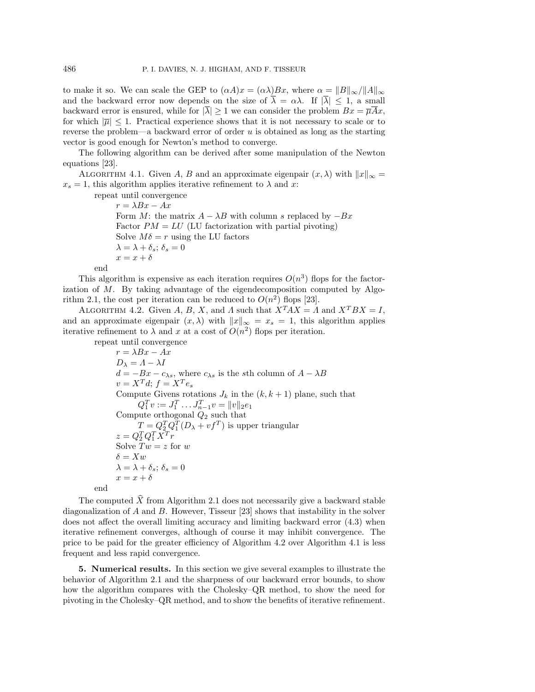to make it so. We can scale the GEP to  $(\alpha A)x = (\alpha \lambda)Bx$ , where  $\alpha = ||B||_{\infty} / ||A||_{\infty}$ and the backward error now depends on the size of  $\overline{\lambda} = \alpha \lambda$ . If  $|\overline{\lambda}| \leq 1$ , a small backward error is ensured, while for  $|\overline{\lambda}| \geq 1$  we can consider the problem  $Bx = \overline{\mu} \overline{A}x$ , for which  $|\overline{\mu}| \leq 1$ . Practical experience shows that it is not necessary to scale or to reverse the problem—a backward error of order  $u$  is obtained as long as the starting vector is good enough for Newton's method to converge.

The following algorithm can be derived after some manipulation of the Newton equations [23].

ALGORITHM 4.1. Given A, B and an approximate eigenpair  $(x, \lambda)$  with  $||x||_{\infty} =$  $x_s = 1$ , this algorithm applies iterative refinement to  $\lambda$  and x:

repeat until convergence

 $r = \lambda Bx - Ax$ Form M: the matrix  $A - \lambda B$  with column s replaced by  $-Bx$ Factor  $PM = LU$  (LU factorization with partial pivoting) Solve  $M\delta = r$  using the LU factors  $\lambda = \lambda + \delta_s$ ;  $\delta_s = 0$  $x = x + \delta$ 

end

This algorithm is expensive as each iteration requires  $O(n^3)$  flops for the factorization of  $M$ . By taking advantage of the eigendecomposition computed by Algorithm 2.1, the cost per iteration can be reduced to  $O(n^2)$  flops [23].

ALGORITHM 4.2. Given A, B, X, and A such that  $X^T A X = A$  and  $X^T B X = I$ , and an approximate eigenpair  $(x, \lambda)$  with  $||x||_{\infty} = x_s = 1$ , this algorithm applies iterative refinement to  $\lambda$  and x at a cost of  $O(n^2)$  flops per iteration.

repeat until convergence

 $r = \lambda Bx - Ax$  $D_{\lambda} = \Lambda - \lambda I$  $d = -Bx - c_{\lambda s}$ , where  $c_{\lambda s}$  is the sth column of  $A - \lambda B$  $v = X^T d$ ;  $f = X^T e_s$ Compute Givens rotations  $J_k$  in the  $(k, k + 1)$  plane, such that  $Q_1^T v := J_1^T \dots J_{n-1}^T v = ||v||_2 e_1$ Compute orthogonal  $Q_2$  such that  $T = Q_2^T Q_1^T (D_\lambda + v f^T)$  is upper triangular  $z = Q_2^T Q_1^T X^T r$ Solve  $Tw = z$  for w  $\delta = Xw$  $\lambda = \lambda + \delta_s$ ;  $\delta_s = 0$  $x = x + \delta$ 

end

The computed  $\hat{X}$  from Algorithm 2.1 does not necessarily give a backward stable diagonalization of A and B. However, Tisseur [23] shows that instability in the solver does not affect the overall limiting accuracy and limiting backward error (4.3) when iterative refinement converges, although of course it may inhibit convergence. The price to be paid for the greater efficiency of Algorithm 4.2 over Algorithm 4.1 is less frequent and less rapid convergence.

**5. Numerical results.** In this section we give several examples to illustrate the behavior of Algorithm 2.1 and the sharpness of our backward error bounds, to show how the algorithm compares with the Cholesky–QR method, to show the need for pivoting in the Cholesky–QR method, and to show the benefits of iterative refinement.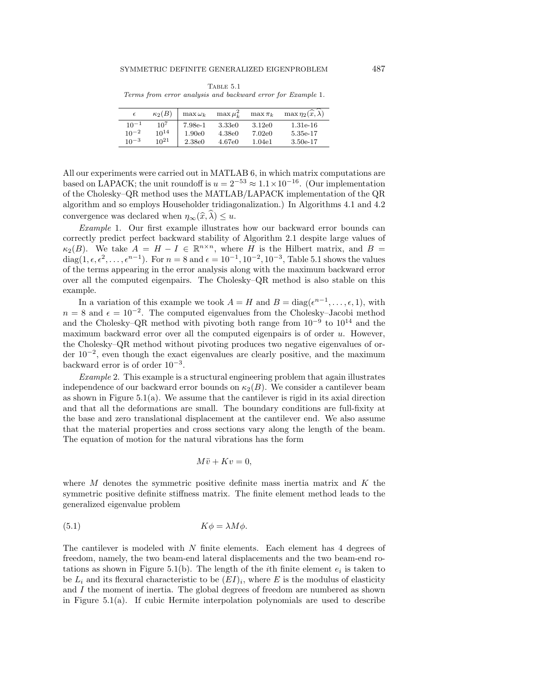Table 5.1 Terms from error analysis and backward error for Example 1.

| $\epsilon$ | $\kappa_2(B)$ | $\max \omega_k$ | $\max \mu_k^2$ | $\max \pi_k$ | $\max \eta_2(x,\lambda)$ |
|------------|---------------|-----------------|----------------|--------------|--------------------------|
| $10^{-1}$  | $10^{7}$      | $7.98e-1$       | 3.33e0         | 3.12e0       | 1.31e-16                 |
| $10^{-2}$  | $10^{14}$     | 1.90e0          | 4.38e0         | 7.02e0       | 5.35e-17                 |
| $10^{-3}$  | $10^{21}$     | 2.38e0          | 4.67e0         | 1.04e1       | 3.50e-17                 |

All our experiments were carried out in MATLAB 6, in which matrix computations are based on LAPACK; the unit roundoff is  $u = 2^{-53} \approx 1.1 \times 10^{-16}$ . (Our implementation of the Cholesky–QR method uses the MATLAB/LAPACK implementation of the QR algorithm and so employs Householder tridiagonalization.) In Algorithms 4.1 and 4.2 convergence was declared when  $\eta_{\infty}(\widehat{x}, \widehat{\lambda}) \leq u$ .

Example 1. Our first example illustrates how our backward error bounds can correctly predict perfect backward stability of Algorithm 2.1 despite large values of  $\kappa_2(B)$ . We take  $A = H - I \in \mathbb{R}^{n \times n}$ , where H is the Hilbert matrix, and  $B =$ diag(1,  $\epsilon, \epsilon^2, \ldots, \epsilon^{n-1}$ ). For  $n = 8$  and  $\epsilon = 10^{-1}, 10^{-2}, 10^{-3}$ , Table 5.1 shows the values of the terms appearing in the error analysis along with the maximum backward error over all the computed eigenpairs. The Cholesky–QR method is also stable on this example.

In a variation of this example we took  $A = H$  and  $B = diag(\epsilon^{n-1}, \ldots, \epsilon, 1)$ , with  $n = 8$  and  $\epsilon = 10^{-2}$ . The computed eigenvalues from the Cholesky–Jacobi method and the Cholesky–QR method with pivoting both range from  $10^{-9}$  to  $10^{14}$  and the maximum backward error over all the computed eigenpairs is of order u. However, the Cholesky–QR method without pivoting produces two negative eigenvalues of order 10−<sup>2</sup>, even though the exact eigenvalues are clearly positive, and the maximum backward error is of order 10−<sup>3</sup>.

Example 2. This example is a structural engineering problem that again illustrates independence of our backward error bounds on  $\kappa_2(B)$ . We consider a cantilever beam as shown in Figure  $5.1(a)$ . We assume that the cantilever is rigid in its axial direction and that all the deformations are small. The boundary conditions are full-fixity at the base and zero translational displacement at the cantilever end. We also assume that the material properties and cross sections vary along the length of the beam. The equation of motion for the natural vibrations has the form

$$
M\ddot{v} + Kv = 0,
$$

where  $M$  denotes the symmetric positive definite mass inertia matrix and  $K$  the symmetric positive definite stiffness matrix. The finite element method leads to the generalized eigenvalue problem

$$
(5.1) \t\t K\phi = \lambda M\phi.
$$

The cantilever is modeled with  $N$  finite elements. Each element has 4 degrees of freedom, namely, the two beam-end lateral displacements and the two beam-end rotations as shown in Figure 5.1(b). The length of the *i*th finite element  $e_i$  is taken to be  $L_i$  and its flexural characteristic to be  $(EI)_i$ , where E is the modulus of elasticity and  $I$  the moment of inertia. The global degrees of freedom are numbered as shown in Figure  $5.1(a)$ . If cubic Hermite interpolation polynomials are used to describe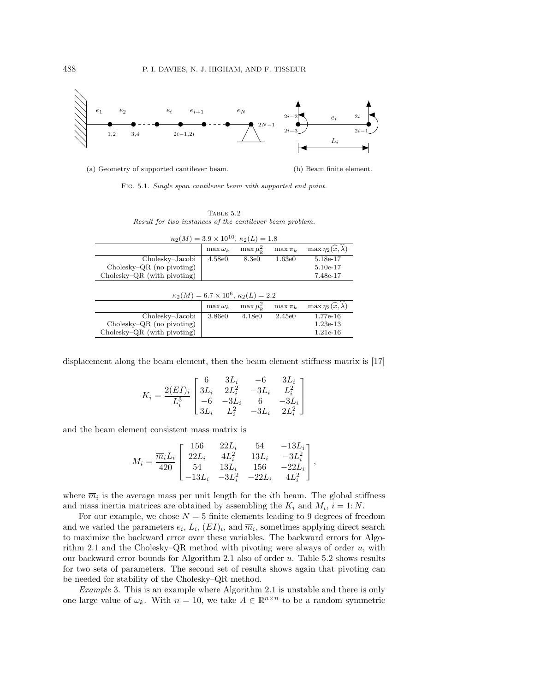

(a) Geometry of supported cantilever beam.

(b) Beam finite element.

Fig. 5.1. Single span cantilever beam with supported end point.

| TABLE 5.2                                                |  |  |  |  |  |  |  |  |
|----------------------------------------------------------|--|--|--|--|--|--|--|--|
| Result for two instances of the cantilever beam problem. |  |  |  |  |  |  |  |  |

| $\kappa_2(M) = 3.9 \times 10^{10}, \, \kappa_2(L) = 1.8$ |                 |                      |              |                                    |  |  |  |  |
|----------------------------------------------------------|-----------------|----------------------|--------------|------------------------------------|--|--|--|--|
|                                                          | $\max \omega_k$ | $\max \mu_{\iota}^2$ | $\max \pi_k$ | $\max \eta_2(\widehat{x},\lambda)$ |  |  |  |  |
| Cholesky-Jacobi                                          | 4.58e0          | 8.3e0                | 1.63e0       | 5.18e-17                           |  |  |  |  |
| Cholesky– $QR$ (no pivoting)                             |                 |                      |              | 5.10e-17                           |  |  |  |  |
| $Cholesky-QR$ (with pivoting)                            |                 |                      |              | 7.48e-17                           |  |  |  |  |

| $\kappa_2(M) = 6.7 \times 10^6$ , $\kappa_2(L) = 2.2$ |                 |                      |              |                                    |  |  |  |
|-------------------------------------------------------|-----------------|----------------------|--------------|------------------------------------|--|--|--|
|                                                       | $\max \omega_k$ | $\max \mu_{\iota}^2$ | $\max \pi_k$ | $\max \eta_2(\widehat{x},\lambda)$ |  |  |  |
| Cholesky-Jacobi                                       | 3.86e0          | 4.18e0               | 2.45e0       | $1.77e-16$                         |  |  |  |
| Cholesky–QR (no pivoting)                             |                 |                      |              | $1.23e-13$                         |  |  |  |
| $Cholesky-QR$ (with pivoting)                         |                 |                      |              | $1.21e-16$                         |  |  |  |

displacement along the beam element, then the beam element stiffness matrix is [17]

$$
K_i = \frac{2(EI)_i}{L_i^3} \begin{bmatrix} 6 & 3L_i & -6 & 3L_i \\ 3L_i & 2L_i^2 & -3L_i & L_i^2 \\ -6 & -3L_i & 6 & -3L_i \\ 3L_i & L_i^2 & -3L_i & 2L_i^2 \end{bmatrix}
$$

and the beam element consistent mass matrix is

$$
M_i = \frac{\overline{m}_i L_i}{420} \begin{bmatrix} 156 & 22L_i & 54 & -13L_i \\ 22L_i & 4L_i^2 & 13L_i & -3L_i^2 \\ 54 & 13L_i & 156 & -22L_i \\ -13L_i & -3L_i^2 & -22L_i & 4L_i^2 \end{bmatrix},
$$

where  $\overline{m}_i$  is the average mass per unit length for the *i*th beam. The global stiffness and mass inertia matrices are obtained by assembling the  $K_i$  and  $M_i$ ,  $i = 1: N$ .

For our example, we chose  $N = 5$  finite elements leading to 9 degrees of freedom and we varied the parameters  $e_i$ ,  $L_i$ ,  $(EI)_i$ , and  $\overline{m}_i$ , sometimes applying direct search to maximize the backward error over these variables. The backward errors for Algorithm 2.1 and the Cholesky–QR method with pivoting were always of order  $u$ , with our backward error bounds for Algorithm 2.1 also of order u. Table 5.2 shows results for two sets of parameters. The second set of results shows again that pivoting can be needed for stability of the Cholesky–QR method.

Example 3. This is an example where Algorithm 2.1 is unstable and there is only one large value of  $\omega_k$ . With  $n = 10$ , we take  $A \in \mathbb{R}^{n \times n}$  to be a random symmetric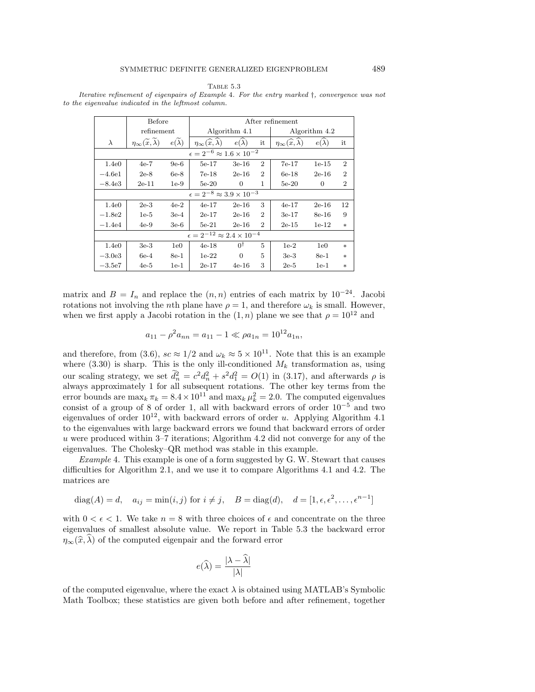|                                                 | Before                                         |              | After refinement                                                      |          |                             |                                      |              |                |  |  |
|-------------------------------------------------|------------------------------------------------|--------------|-----------------------------------------------------------------------|----------|-----------------------------|--------------------------------------|--------------|----------------|--|--|
|                                                 | refinement                                     |              | Algorithm 4.1                                                         |          |                             | Algorithm 4.2                        |              |                |  |  |
| $\lambda$                                       | $\eta_{\infty}(\widetilde{x},\lambda)$         | $e(\lambda)$ | $\eta_{\infty}(\widehat{x},\widehat{\lambda})$ $e(\widehat{\lambda})$ |          | it                          | $\eta_{\infty}(\widehat{x},\lambda)$ | $e(\lambda)$ | it             |  |  |
|                                                 | $\epsilon = 2^{-6} \approx 1.6 \times 10^{-2}$ |              |                                                                       |          |                             |                                      |              |                |  |  |
| 1.4e0                                           | $4e-7$                                         | $9e-6$       | 5e-17                                                                 | $3e-16$  | $\overline{2}$              | 7e-17                                | $1e-15$      | $\overline{2}$ |  |  |
| $-4.6e1$                                        | $2e-8$                                         | $6e-8$       | 7e-18                                                                 | $2e-16$  | $\overline{2}$              | $6e-18$                              | $2e-16$      | $\overline{2}$ |  |  |
| $-8.4e3$                                        | $2e-11$                                        | $1e-9$       | $5e-20$                                                               | $\Omega$ | 1                           | $5e-20$                              | $\Omega$     | $\overline{2}$ |  |  |
|                                                 |                                                |              | $\epsilon = 2^{-8} \approx 3.9 \times 10^{-3}$                        |          |                             |                                      |              |                |  |  |
| 1.4e0                                           | $2e-3$                                         | $4e-2$       | $4e-17$                                                               | $2e-16$  | 3                           | $4e-17$                              | $2e-16$      | 12             |  |  |
| $-1.8e2$                                        | $1e-5$                                         | $3e-4$       | $2e-17$                                                               | $2e-16$  | $\overline{2}$              | $3e-17$                              | 8e-16        | 9              |  |  |
| $-1.4e4$                                        | $4e-9$                                         | $3e-6$       | $5e-21$                                                               | $2e-16$  | $\mathcal{D}_{\mathcal{L}}$ | $2e-15$                              | $1e-12$      | $\ast$         |  |  |
| $\epsilon = 2^{-12} \approx 2.4 \times 10^{-4}$ |                                                |              |                                                                       |          |                             |                                      |              |                |  |  |
| 1.4e0                                           | 3e-3                                           | 1e0          | $4e-18$                                                               | 0†       | 5                           | $1e-2$                               | 1e0          | $\ast$         |  |  |
| $-3.0e3$                                        | $6e-4$                                         | $8e-1$       | $1e-22$                                                               | $\theta$ | 5                           | $3e-3$                               | $8e-1$       | $\ast$         |  |  |
| $-3.5e7$                                        | $4e-5$                                         | $1e-1$       | $2e-17$                                                               | $4e-16$  | 3                           | $2e-5$                               | $1e-1$       | $\ast$         |  |  |

Table 5.3 Iterative refinement of eigenpairs of Example 4. For the entry marked  $\dagger$ , convergence was not to the eigenvalue indicated in the leftmost column.

matrix and  $B = I_n$  and replace the  $(n, n)$  entries of each matrix by 10<sup>-24</sup>. Jacobi rotations not involving the *n*th plane have  $\rho = 1$ , and therefore  $\omega_k$  is small. However, when we first apply a Jacobi rotation in the  $(1, n)$  plane we see that  $\rho = 10^{12}$  and

$$
a_{11} - \rho^2 a_{nn} = a_{11} - 1 \ll \rho a_{1n} = 10^{12} a_{1n},
$$

and therefore, from (3.6),  $sc \approx 1/2$  and  $\omega_k \approx 5 \times 10^{11}$ . Note that this is an example where  $(3.30)$  is sharp. This is the only ill-conditioned  $M_k$  transformation as, using our scaling strategy, we set  $d_n^2 = c^2 d_n^2 + s^2 d_1^2 = O(1)$  in (3.17), and afterwards  $\rho$  is always approximately 1 for all subsequent rotations. The other key terms from the error bounds are  $\max_k \pi_k = 8.4 \times 10^{11}$  and  $\max_k \mu_k^2 = 2.0$ . The computed eigenvalues consist of a group of 8 of order 1, all with backward errors of order  $10^{-5}$  and two eigenvalues of order  $10^{12}$ , with backward errors of order u. Applying Algorithm 4.1 to the eigenvalues with large backward errors we found that backward errors of order u were produced within 3–7 iterations; Algorithm 4.2 did not converge for any of the eigenvalues. The Cholesky–QR method was stable in this example.

Example 4. This example is one of a form suggested by G. W. Stewart that causes difficulties for Algorithm 2.1, and we use it to compare Algorithms 4.1 and 4.2. The matrices are

diag(A) = d, 
$$
a_{ij} = \min(i, j)
$$
 for  $i \neq j$ ,  $B = \text{diag}(d)$ ,  $d = [1, \epsilon, \epsilon^2, \dots, \epsilon^{n-1}]$ 

with  $0 < \epsilon < 1$ . We take  $n = 8$  with three choices of  $\epsilon$  and concentrate on the three eigenvalues of smallest absolute value. We report in Table 5.3 the backward error  $\eta_{\infty}(\widehat{x},\widehat{\lambda})$  of the computed eigenpair and the forward error

$$
e(\widehat{\lambda}) = \frac{|\lambda - \widehat{\lambda}|}{|\lambda|}
$$

of the computed eigenvalue, where the exact  $\lambda$  is obtained using MATLAB's Symbolic Math Toolbox; these statistics are given both before and after refinement, together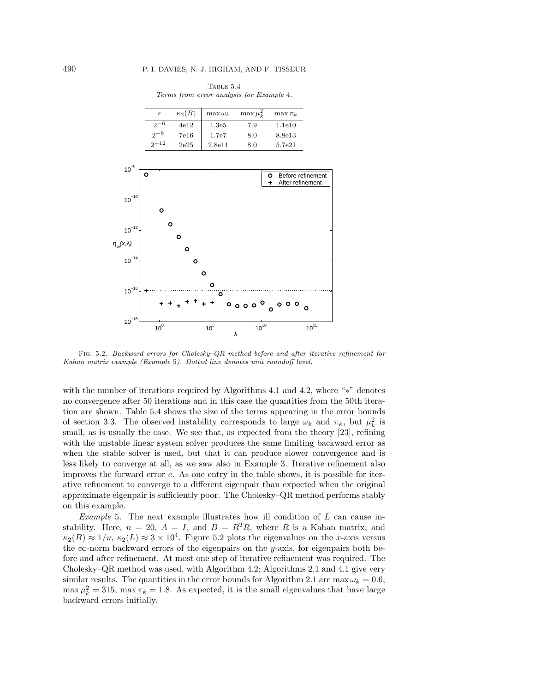Table 5.4 Terms from error analysis for Example 4.

|              | $\kappa_2(B)$ | $\max \omega_k$ | $\max \mu_k^2$ | $\max \pi_k$ |
|--------------|---------------|-----------------|----------------|--------------|
| $2^{-6}$     | 4e12          | 1.3e5           | 7.9            | 1.1e10       |
| $2^{-8}$     | 7e16          | 1.7e7           | 8.0            | 8.8e13       |
| $2^{\sim}12$ | 2e25          | 2.8e11          | $8.0\,$        | 5.7e21       |



Fig. 5.2. Backward errors for Cholesky–QR method before and after iterative refinement for Kahan matrix example (Example 5). Dotted line denotes unit roundoff level.

with the number of iterations required by Algorithms 4.1 and 4.2, where "∗" denotes no convergence after 50 iterations and in this case the quantities from the 50th iteration are shown. Table 5.4 shows the size of the terms appearing in the error bounds of section 3.3. The observed instability corresponds to large  $\omega_k$  and  $\pi_k$ , but  $\mu_k^2$  is small, as is usually the case. We see that, as expected from the theory [23], refining with the unstable linear system solver produces the same limiting backward error as when the stable solver is used, but that it can produce slower convergence and is less likely to converge at all, as we saw also in Example 3. Iterative refinement also improves the forward error e. As one entry in the table shows, it is possible for iterative refinement to converge to a different eigenpair than expected when the original approximate eigenpair is sufficiently poor. The Cholesky–QR method performs stably on this example.

*Example* 5. The next example illustrates how ill condition of  $L$  can cause instability. Here,  $n = 20$ ,  $A = I$ , and  $B = R^{T}R$ , where R is a Kahan matrix, and  $\kappa_2(B) \approx 1/u$ ,  $\kappa_2(L) \approx 3 \times 10^4$ . Figure 5.2 plots the eigenvalues on the x-axis versus the  $\infty$ -norm backward errors of the eigenpairs on the y-axis, for eigenpairs both before and after refinement. At most one step of iterative refinement was required. The Cholesky–QR method was used, with Algorithm 4.2; Algorithms 2.1 and 4.1 give very similar results. The quantities in the error bounds for Algorithm 2.1 are max  $\omega_k = 0.6$ ,  $\max \mu_k^2 = 315$ ,  $\max \pi_k = 1.8$ . As expected, it is the small eigenvalues that have large backward errors initially.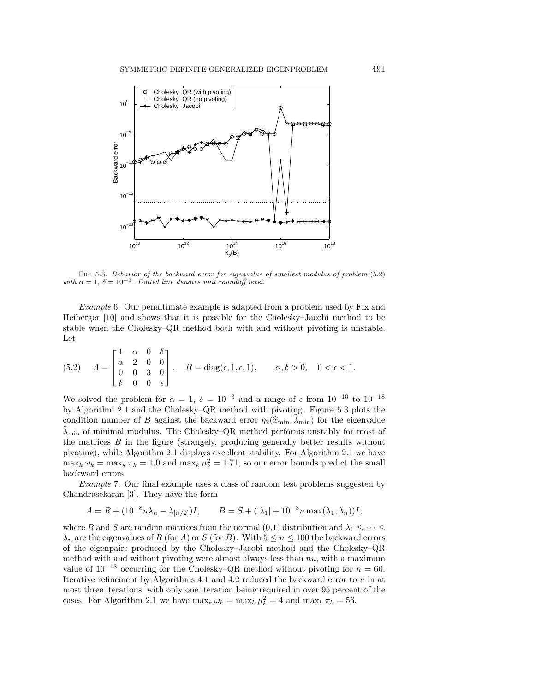

Fig. 5.3. Behavior of the backward error for eigenvalue of smallest modulus of problem (5.2) with  $\alpha = 1$ ,  $\delta = 10^{-3}$ . Dotted line denotes unit roundoff level.

Example 6. Our penultimate example is adapted from a problem used by Fix and Heiberger [10] and shows that it is possible for the Cholesky–Jacobi method to be stable when the Cholesky–QR method both with and without pivoting is unstable. Let

(5.2) 
$$
A = \begin{bmatrix} 1 & \alpha & 0 & \delta \\ \alpha & 2 & 0 & 0 \\ 0 & 0 & 3 & 0 \\ \delta & 0 & 0 & \epsilon \end{bmatrix}, \quad B = \text{diag}(\epsilon, 1, \epsilon, 1), \quad \alpha, \delta > 0, \quad 0 < \epsilon < 1.
$$

We solved the problem for  $\alpha = 1$ ,  $\delta = 10^{-3}$  and a range of  $\epsilon$  from  $10^{-10}$  to  $10^{-18}$ by Algorithm 2.1 and the Cholesky–QR method with pivoting. Figure 5.3 plots the condition number of B against the backward error  $\eta_2(\hat{x}_{\min}, \lambda_{\min})$  for the eigenvalue  $\widehat{\lambda}_{\text{min}}$  of minimal modulus. The Cholesky–QR method performs unstably for most of the matrices  $B$  in the figure (strangely, producing generally better results without pivoting), while Algorithm 2.1 displays excellent stability. For Algorithm 2.1 we have  $\max_k \omega_k = \max_k \pi_k = 1.0$  and  $\max_k \mu_k^2 = 1.71$ , so our error bounds predict the small backward errors.

Example 7. Our final example uses a class of random test problems suggested by Chandrasekaran [3]. They have the form

$$
A = R + (10^{-8}n\lambda_n - \lambda_{[n/2]})I, \qquad B = S + (|\lambda_1| + 10^{-8}n \max(\lambda_1, \lambda_n))I,
$$

where R and S are random matrices from the normal (0,1) distribution and  $\lambda_1 \leq \cdots \leq$  $\lambda_n$  are the eigenvalues of R (for A) or S (for B). With  $5 \leq n \leq 100$  the backward errors of the eigenpairs produced by the Cholesky–Jacobi method and the Cholesky–QR method with and without pivoting were almost always less than  $nu$ , with a maximum value of  $10^{-13}$  occurring for the Cholesky–QR method without pivoting for  $n = 60$ . Iterative refinement by Algorithms 4.1 and 4.2 reduced the backward error to  $u$  in at most three iterations, with only one iteration being required in over 95 percent of the cases. For Algorithm 2.1 we have  $\max_k \omega_k = \max_k \mu_k^2 = 4$  and  $\max_k \pi_k = 56$ .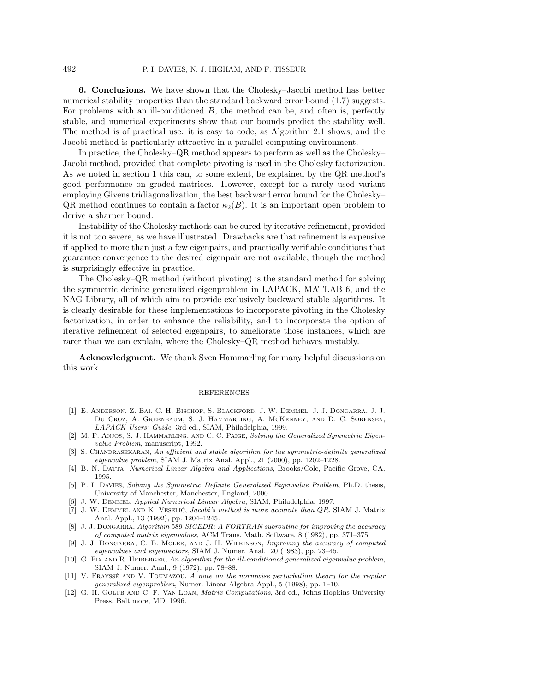**6. Conclusions.** We have shown that the Cholesky–Jacobi method has better numerical stability properties than the standard backward error bound (1.7) suggests. For problems with an ill-conditioned B, the method can be, and often is, perfectly stable, and numerical experiments show that our bounds predict the stability well. The method is of practical use: it is easy to code, as Algorithm 2.1 shows, and the Jacobi method is particularly attractive in a parallel computing environment.

In practice, the Cholesky–QR method appears to perform as well as the Cholesky– Jacobi method, provided that complete pivoting is used in the Cholesky factorization. As we noted in section 1 this can, to some extent, be explained by the QR method's good performance on graded matrices. However, except for a rarely used variant employing Givens tridiagonalization, the best backward error bound for the Cholesky– QR method continues to contain a factor  $\kappa_2(B)$ . It is an important open problem to derive a sharper bound.

Instability of the Cholesky methods can be cured by iterative refinement, provided it is not too severe, as we have illustrated. Drawbacks are that refinement is expensive if applied to more than just a few eigenpairs, and practically verifiable conditions that guarantee convergence to the desired eigenpair are not available, though the method is surprisingly effective in practice.

The Cholesky–QR method (without pivoting) is the standard method for solving the symmetric definite generalized eigenproblem in LAPACK, MATLAB 6, and the NAG Library, all of which aim to provide exclusively backward stable algorithms. It is clearly desirable for these implementations to incorporate pivoting in the Cholesky factorization, in order to enhance the reliability, and to incorporate the option of iterative refinement of selected eigenpairs, to ameliorate those instances, which are rarer than we can explain, where the Cholesky–QR method behaves unstably.

**Acknowledgment.** We thank Sven Hammarling for many helpful discussions on this work.

## REFERENCES

- [1] E. Anderson, Z. Bai, C. H. Bischof, S. Blackford, J. W. Demmel, J. J. Dongarra, J. J. Du Croz, A. Greenbaum, S. J. Hammarling, A. McKenney, and D. C. Sorensen, LAPACK Users' Guide, 3rd ed., SIAM, Philadelphia, 1999.
- [2] M. F. ANJOS, S. J. HAMMARLING, AND C. C. PAIGE, Solving the Generalized Symmetric Eigenvalue Problem, manuscript, 1992.
- [3] S. CHANDRASEKARAN, An efficient and stable algorithm for the symmetric-definite generalized eigenvalue problem, SIAM J. Matrix Anal. Appl., 21 (2000), pp. 1202–1228.
- [4] B. N. Datta, Numerical Linear Algebra and Applications, Brooks/Cole, Pacific Grove, CA, 1995.
- [5] P. I. DAVIES, Solving the Symmetric Definite Generalized Eigenvalue Problem, Ph.D. thesis, University of Manchester, Manchester, England, 2000.
- [6] J. W. Demmel, Applied Numerical Linear Algebra, SIAM, Philadelphia, 1997.
- [7] J. W. DEMMEL AND K. VESELIĆ, *Jacobi's method is more accurate than QR*, SIAM J. Matrix Anal. Appl., 13 (1992), pp. 1204–1245.
- [8] J. J. DONGARRA, Algorithm 589 SICEDR: A FORTRAN subroutine for improving the accuracy of computed matrix eigenvalues, ACM Trans. Math. Software, 8 (1982), pp. 371–375.
- [9] J. J. DONGARRA, C. B. MOLER, AND J. H. WILKINSON, Improving the accuracy of computed eigenvalues and eigenvectors, SIAM J. Numer. Anal., 20 (1983), pp. 23–45.
- [10] G. FIX AND R. HEIBERGER, An algorithm for the ill-conditioned generalized eigenvalue problem, SIAM J. Numer. Anal., 9 (1972), pp. 78–88.
- [11] V. FRAYSSÉ AND V. TOUMAZOU, A note on the normwise perturbation theory for the regular generalized eigenproblem, Numer. Linear Algebra Appl., 5 (1998), pp. 1–10.
- [12] G. H. Golub and C. F. Van Loan, Matrix Computations, 3rd ed., Johns Hopkins University Press, Baltimore, MD, 1996.